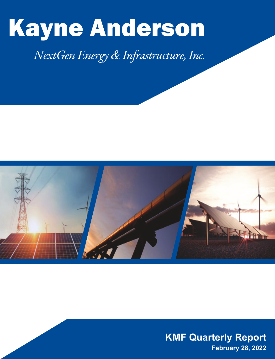# Kayne Anderson

# *NextGen Energy & Infrastructure, Inc.*



**KMF Quarterly Report February 28, 2022**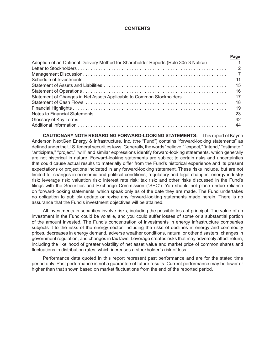#### **CONTENTS**

|                                                                                     | Page                       |
|-------------------------------------------------------------------------------------|----------------------------|
| Adoption of an Optional Delivery Method for Shareholder Reports (Rule 30e-3 Notice) | $\overline{\phantom{0}}$ 1 |
|                                                                                     | $\overline{2}$             |
|                                                                                     | $\overline{7}$             |
|                                                                                     | 11                         |
|                                                                                     | 15                         |
|                                                                                     | 16                         |
| Statement of Changes in Net Assets Applicable to Common Stockholders                | 17                         |
|                                                                                     | 18                         |
|                                                                                     | 19                         |
|                                                                                     | 23                         |
|                                                                                     | 42                         |
|                                                                                     | 44                         |

**CAUTIONARY NOTE REGARDING FORWARD-LOOKING STATEMENTS:** This report of Kayne Anderson NextGen Energy & Infrastructure, Inc. (the "Fund") contains "forward-looking statements" as defined under the U.S. federal securities laws. Generally, the words "believe," "expect," "intend," "estimate," "anticipate," "project," "will" and similar expressions identify forward-looking statements, which generally are not historical in nature. Forward-looking statements are subject to certain risks and uncertainties that could cause actual results to materially differ from the Fund's historical experience and its present expectations or projections indicated in any forward-looking statement. These risks include, but are not limited to, changes in economic and political conditions; regulatory and legal changes; energy industry risk; leverage risk; valuation risk; interest rate risk; tax risk; and other risks discussed in the Fund's filings with the Securities and Exchange Commission ("SEC"). You should not place undue reliance on forward-looking statements, which speak only as of the date they are made. The Fund undertakes no obligation to publicly update or revise any forward-looking statements made herein. There is no assurance that the Fund's investment objectives will be attained.

All investments in securities involve risks, including the possible loss of principal. The value of an investment in the Fund could be volatile, and you could suffer losses of some or a substantial portion of the amount invested. The Fund's concentration of investments in energy infrastructure companies subjects it to the risks of the energy sector, including the risks of declines in energy and commodity prices, decreases in energy demand, adverse weather conditions, natural or other disasters, changes in government regulation, and changes in tax laws. Leverage creates risks that may adversely affect return, including the likelihood of greater volatility of net asset value and market price of common shares and fluctuations in distribution rates, which increases a stockholder's risk of loss.

Performance data quoted in this report represent past performance and are for the stated time period only. Past performance is not a guarantee of future results. Current performance may be lower or higher than that shown based on market fluctuations from the end of the reported period.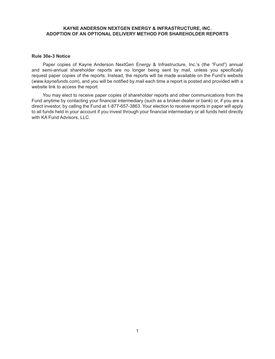# **KAYNE ANDERSON NEXTGEN ENERGY & INFRASTRUCTURE, INC. ADOPTION OF AN OPTIONAL DELIVERY METHOD FOR SHAREHOLDER REPORTS**

#### **Rule 30e-3 Notice**

Paper copies of Kayne Anderson NextGen Energy & Infrastructure, Inc.'s (the "Fund") annual and semi-annual shareholder reports are no longer being sent by mail, unless you specifically request paper copies of the reports. Instead, the reports will be made available on the Fund's website (*www.kaynefunds.com*), and you will be notified by mail each time a report is posted and provided with a website link to access the report.

You may elect to receive paper copies of shareholder reports and other communications from the Fund anytime by contacting your financial intermediary (such as a broker-dealer or bank) or, if you are a direct investor, by calling the Fund at 1-877-657-3863. Your election to receive reports in paper will apply to all funds held in your account if you invest through your financial intermediary or all funds held directly with KA Fund Advisors, LLC.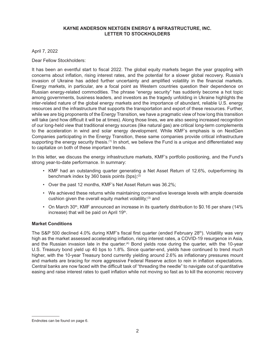April 7, 2022

Dear Fellow Stockholders:

It has been an eventful start to fiscal 2022. The global equity markets began the year grappling with concerns about inflation, rising interest rates, and the potential for a slower global recovery. Russia's invasion of Ukraine has added further uncertainty and amplified volatility in the financial markets. Energy markets, in particular, are a focal point as Western countries question their dependence on Russian energy-related commodities. The phrase "energy security" has suddenly become a hot topic among governments, business leaders, and investors as the tragedy unfolding in Ukraine highlights the inter-related nature of the global energy markets and the importance of abundant, reliable U.S. energy resources and the infrastructure that supports the transportation and export of these resources. Further, while we are big proponents of the Energy Transition, we have a pragmatic view of how long this transition will take (and how difficult it will be at times). Along those lines, we are also seeing increased recognition of our long-held view that traditional energy sources (like natural gas) are critical long-term complements to the acceleration in wind and solar energy development. While KMF's emphasis is on NextGen Companies participating in the Energy Transition, these same companies provide critical infrastructure supporting the energy security thesis. $^{(1)}$  In short, we believe the Fund is a unique and differentiated way to capitalize on both of these important trends.

In this letter, we discuss the energy infrastructure markets, KMF's portfolio positioning, and the Fund's strong year-to-date performance. In summary:

- KMF had an outstanding quarter generating a Net Asset Return of 12.6%, outperforming its benchmark index by 360 basis points (bps);<sup>(2)</sup>
- Over the past 12 months, KMF's Net Asset Return was 36.2%;
- We achieved these returns while maintaining conservative leverage levels with ample downside cushion given the overall equity market volatility; $(3)$  and
- On March 30<sup>th</sup>, KMF announced an increase in its quarterly distribution to \$0.16 per share (14%) increase) that will be paid on April 19th.

# **Market Conditions**

The S&P 500 declined 4.0% during KMF's fiscal first quarter (ended February 28<sup>th</sup>). Volatility was very high as the market assessed accelerating inflation, rising interest rates, a COVID-19 resurgence in Asia, and the Russian invasion late in the quarter.<sup>(4)</sup> Bond yields rose during the quarter, with the 10-year U.S. Treasury bond yield up 40 bps to 1.8%. Since quarter-end, yields have continued to trend much higher, with the 10-year Treasury bond currently yielding around 2.6% as inflationary pressures mount and markets are bracing for more aggressive Federal Reserve action to rein in inflation expectations. Central banks are now faced with the difficult task of "threading the needle" to navigate out of quantitative easing and raise interest rates to quell inflation while not moving so fast as to kill the economic recovery

Endnotes can be found on page 6.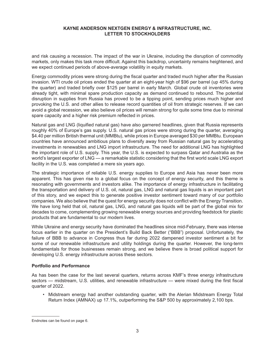and risk causing a recession. The impact of the war in Ukraine, including the disruption of commodity markets, only makes this task more difficult. Against this backdrop, uncertainty remains heightened, and we expect continued periods of above-average volatility in equity markets.

Energy commodity prices were strong during the fiscal quarter and traded much higher after the Russian invasion. WTI crude oil prices ended the quarter at an eight-year high of \$96 per barrel (up 45% during the quarter) and traded briefly over \$125 per barrel in early March. Global crude oil inventories were already tight, with minimal spare production capacity as demand continued to rebound. The potential disruption in supplies from Russia has proved to be a tipping point, sending prices much higher and provoking the U.S. and other allies to release record quantities of oil from strategic reserves. If we can avoid a global recession, we also believe oil prices will remain strong for quite some time due to minimal spare capacity and a higher risk premium reflected in prices.

Natural gas and LNG (liquified natural gas) have also garnered headlines, given that Russia represents roughly 40% of Europe's gas supply. U.S. natural gas prices were strong during the quarter, averaging \$4.40 per million British thermal unit (MMBtu), while prices in Europe averaged \$30 per MMBtu. European countries have announced ambitious plans to diversify away from Russian natural gas by accelerating investments in renewables and LNG import infrastructure. The need for additional LNG has highlighted the important role of U.S. supply. This year, the U.S. is expected to surpass Qatar and Australia as the world's largest exporter of LNG — a remarkable statistic considering that the first world scale LNG export facility in the U.S. was completed a mere six years ago.

The strategic importance of reliable U.S. energy supplies to Europe and Asia has never been more apparent. This has given rise to a global focus on the concept of energy security, and this theme is resonating with governments and investors alike. The importance of energy infrastructure in facilitating the transportation and delivery of U.S. oil, natural gas, LNG and natural gas liquids is an important part of this story, and we expect this to generate positive investor sentiment toward many of our portfolio companies. We also believe that the quest for energy security does not conflict with the Energy Transition. We have long held that oil, natural gas, LNG, and natural gas liquids will be part of the global mix for decades to come, complementing growing renewable energy sources and providing feedstock for plastic products that are fundamental to our modern lives.

While Ukraine and energy security have dominated the headlines since mid-February, there was intense focus earlier in the quarter on the President's Build Back Better ("BBB") proposal. Unfortunately, the failure of BBB to advance in Congress thus far during 2022 dampened investor sentiment a bit for some of our renewable infrastructure and utility holdings during the quarter. However, the long-term fundamentals for those businesses remain strong, and we believe there is broad political support for developing U.S. energy infrastructure across these sectors.

#### **Portfolio and Performance**

As has been the case for the last several quarters, returns across KMF's three energy infrastructure sectors — midstream, U.S. utilities, and renewable infrastructure — were mixed during the first fiscal quarter of 2022.

• Midstream energy had another outstanding quarter, with the Alerian Midstream Energy Total Return Index (AMNAX) up 17.1%, outperforming the S&P 500 by approximately 2,100 bps.

Endnotes can be found on page 6.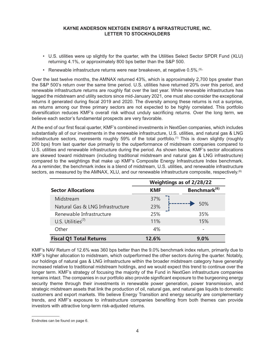- U.S. utilities were up slightly for the quarter, with the Utilities Select Sector SPDR Fund (XLU) returning 4.1%, or approximately 800 bps better than the S&P 500.
- Renewable infrastructure returns were near breakeven, at negative 0.5%.<sup>(5).</sup>

Over the last twelve months, the AMNAX returned 43%, which is approximately 2,700 bps greater than the S&P 500's return over the same time period. U.S. utilities have returned 20% over this period, and renewable infrastructure returns are roughly flat over the last year. While renewable infrastructure has lagged the midstream and utility sectors since mid-January 2021, one must also consider the exceptional returns it generated during fiscal 2019 and 2020. The diversity among these returns is not a surprise, as returns among our three primary sectors are not expected to be highly correlated. This portfolio diversification reduces KMF's overall risk without unduly sacrificing returns. Over the long term, we believe each sector's fundamental prospects are very favorable.

At the end of our first fiscal quarter, KMF's combined investments in NextGen companies, which includes substantially all of our investments in the renewable infrastructure, U.S. utilities, and natural gas & LNG infrastructure sectors, represents roughly 59% of the total portfolio. (1) This is down slightly (roughly 200 bps) from last quarter due primarily to the outperformance of midstream companies compared to U.S. utilities and renewable infrastructure during the period. As shown below, KMF's sector allocations are skewed toward midstream (including traditional midstream and natural gas & LNG infrastructure) compared to the weightings that make up KMF's Composite Energy Infrastructure Index benchmark. As a reminder, the benchmark index is a blend of midstream, U.S. utilities, and renewable infrastructure sectors, as measured by the AMNAX, XLU, and our renewable infrastructure composite, respectively.<sup>(6)</sup>

|                                  | Weightings as of 2/28/22 |                          |  |  |
|----------------------------------|--------------------------|--------------------------|--|--|
| <b>Sector Allocations</b>        | <b>KMF</b>               | Benchmark <sup>(6)</sup> |  |  |
| Midstream                        | 37%                      |                          |  |  |
| Natural Gas & LNG Infrastructure | 23%                      | 50%                      |  |  |
| Renewable Infrastructure         | 25%                      | 35%                      |  |  |
| U.S. Utilities $(7)$             | 11%                      | 15%                      |  |  |
| Other                            | 4%                       |                          |  |  |
| <b>Fiscal Q1 Total Returns</b>   | 12.6%                    | $9.0\%$                  |  |  |

KMF's NAV Return of 12.6% was 360 bps better than the 9.0% benchmark index return, primarily due to KMF's higher allocation to midstream, which outperformed the other sectors during the quarter. Notably, our holdings of natural gas & LNG infrastructure within the broader midstream category have generally increased relative to traditional midstream holdings, and we would expect this trend to continue over the longer term. KMF's strategy of focusing the majority of the Fund in NextGen infrastructure companies remains intact. The companies in our portfolio also provide significant exposure to the burgeoning energy security theme through their investments in renewable power generation, power transmission, and strategic midstream assets that link the production of oil, natural gas, and natural gas liquids to domestic customers and export markets. We believe Energy Transition and energy security are complementary trends, and KMF's exposure to infrastructure companies benefiting from both themes can provide investors with attractive long-term risk-adjusted returns.

Endnotes can be found on page 6.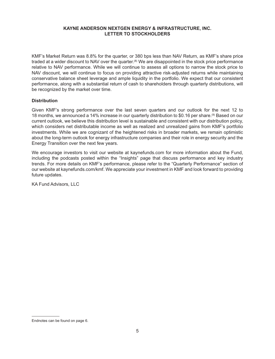KMF's Market Return was 8.8% for the quarter, or 380 bps less than NAV Return, as KMF's share price traded at a wider discount to NAV over the quarter.<sup>(8)</sup> We are disappointed in the stock price performance relative to NAV performance. While we will continue to assess all options to narrow the stock price to NAV discount, we will continue to focus on providing attractive risk-adjusted returns while maintaining conservative balance sheet leverage and ample liquidity in the portfolio. We expect that our consistent performance, along with a substantial return of cash to shareholders through quarterly distributions, will be recognized by the market over time.

# **Distribution**

Given KMF's strong performance over the last seven quarters and our outlook for the next 12 to 18 months, we announced a 14% increase in our quarterly distribution to \$0.16 per share.<sup>(9)</sup> Based on our current outlook, we believe this distribution level is sustainable and consistent with our distribution policy, which considers net distributable income as well as realized and unrealized gains from KMF's portfolio investments. While we are cognizant of the heightened risks in broader markets, we remain optimistic about the long-term outlook for energy infrastructure companies and their role in energy security and the Energy Transition over the next few years.

We encourage investors to visit our website at kaynefunds.com for more information about the Fund, including the podcasts posted within the "Insights" page that discuss performance and key industry trends. For more details on KMF's performance, please refer to the "Quarterly Performance" section of our website at kaynefunds.com/kmf. We appreciate your investment in KMF and look forward to providing future updates.

KA Fund Advisors, LLC

Endnotes can be found on page 6.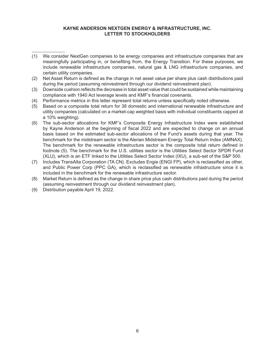- (1) We consider NextGen companies to be energy companies and infrastructure companies that are meaningfully participating in, or benefiting from, the Energy Transition. For these purposes, we include renewable infrastructure companies, natural gas & LNG infrastructure companies, and certain utility companies.
- (2) Net Asset Return is defined as the change in net asset value per share plus cash distributions paid during the period (assuming reinvestment through our dividend reinvestment plan).
- (3) Downside cushion reflects the decrease in total asset value that could be sustained while maintaining compliance with 1940 Act leverage levels and KMF's financial covenants.
- (4) Performance metrics in this letter represent total returns unless specifically noted otherwise.
- (5) Based on a composite total return for 38 domestic and international renewable infrastructure and utility companies (calculated on a market-cap weighted basis with individual constituents capped at a 10% weighting).
- (6) The sub-sector allocations for KMF's Composite Energy Infrastructure Index were established by Kayne Anderson at the beginning of fiscal 2022 and are expected to change on an annual basis based on the estimated sub-sector allocations of the Fund's assets during that year. The benchmark for the midstream sector is the Alerian Midstream Energy Total Return Index (AMNAX). The benchmark for the renewable infrastructure sector is the composite total return defined in footnote (5). The benchmark for the U.S. utilities sector is the Utilities Select Sector SPDR Fund (XLU), which is an ETF linked to the Utilities Select Sector Index (IXU), a sub-set of the S&P 500.
- (7) Includes TransAlta Corporation (TA CN). Excludes Engie (ENGI FP), which is reclassified as other, and Public Power Corp (PPC GA), which is reclassified as renewable infrastructure since it is included in the benchmark for the renewable infrastructure sector.
- (8) Market Return is defined as the change in share price plus cash distributions paid during the period (assuming reinvestment through our dividend reinvestment plan).
- (9) Distribution payable April 19, 2022.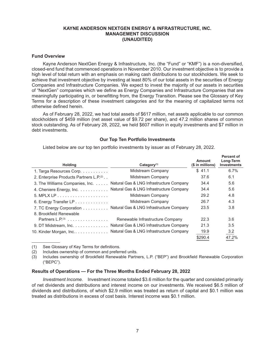#### **Fund Overview**

Kayne Anderson NextGen Energy & Infrastructure, Inc. (the "Fund" or "KMF") is a non-diversified, closed-end fund that commenced operations in November 2010. Our investment objective is to provide a high level of total return with an emphasis on making cash distributions to our stockholders. We seek to achieve that investment objective by investing at least 80% of our total assets in the securities of Energy Companies and Infrastructure Companies. We expect to invest the majority of our assets in securities of "NextGen" companies which we define as Energy Companies and Infrastructure Companies that are meaningfully participating in, or benefitting from, the Energy Transition. Please see the Glossary of Key Terms for a description of these investment categories and for the meaning of capitalized terms not otherwise defined herein.

As of February 28, 2022, we had total assets of \$617 million, net assets applicable to our common stockholders of \$459 million (net asset value of \$9.72 per share), and 47.2 million shares of common stock outstanding. As of February 28, 2022, we held \$607 million in equity investments and \$7 million in debt investments.

#### **Our Top Ten Portfolio Investments**

**Percent of** 

Listed below are our top ten portfolio investments by issuer as of February 28, 2022.

| <b>Holding</b>                                      | $Category^{(1)}$                                                  | <b>Amount</b><br>$($$ in millions) | ו שושטות טו<br>Long-Term<br><b>Investments</b> |
|-----------------------------------------------------|-------------------------------------------------------------------|------------------------------------|------------------------------------------------|
| 1. Targa Resources Corp.                            | Midstream Company                                                 | \$41.1                             | 6.7%                                           |
| 2. Enterprise Products Partners L.P. <sup>(2)</sup> | Midstream Company                                                 | 37.6                               | 6.1                                            |
| 3. The Williams Companies, Inc.                     | Natural Gas & LNG Infrastructure Company                          | 34.4                               | 5.6                                            |
| 4. Cheniere Energy, Inc.                            | Natural Gas & LNG Infrastructure Company                          | 34.4                               | 5.6                                            |
|                                                     | Midstream Company                                                 | 29.2                               | 4.8                                            |
| 6. Energy Transfer $LP$                             | Midstream Company                                                 | 26.7                               | 4.3                                            |
|                                                     | 7. TC Energy Corporation Natural Gas & LNG Infrastructure Company | 23.5                               | 3.8                                            |
| 8. Brookfield Renewable                             |                                                                   |                                    |                                                |
| Partners L.P. $(3)$                                 | Renewable Infrastructure Company                                  | 22.3                               | 3.6                                            |
| $9.$ DT Midstream, Inc. $\dots \dots \dots \dots$   | Natural Gas & LNG Infrastructure Company                          | 21.3                               | 3.5                                            |
| 10. Kinder Morgan, Inc                              | Natural Gas & LNG Infrastructure Company                          | 19.9                               | 3.2                                            |
|                                                     |                                                                   | \$290.4                            | 47.2%                                          |
|                                                     |                                                                   |                                    |                                                |

(1) See Glossary of Key Terms for definitions.

(2) Includes ownership of common and preferred units.

(3) Includes ownership of Brookfield Renewable Partners, L.P. ("BEP") and Brookfield Renewable Corporation ("BEPC").

#### **Results of Operations — For the Three Months Ended February 28, 2022**

*Investment Income.* Investment income totaled \$3.6 million for the quarter and consisted primarily of net dividends and distributions and interest income on our investments. We received \$6.5 million of dividends and distributions, of which \$2.9 million was treated as return of capital and \$0.1 million was treated as distributions in excess of cost basis. Interest income was \$0.1 million.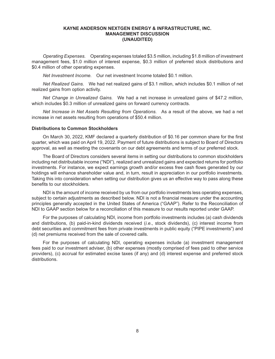*Operating Expenses.* Operating expenses totaled \$3.5 million, including \$1.8 million of investment management fees, \$1.0 million of interest expense, \$0.3 million of preferred stock distributions and \$0.4 million of other operating expenses.

*Net Investment Income.* Our net investment Income totaled \$0.1 million.

*Net Realized Gains.* We had net realized gains of \$3.1 million, which includes \$0.1 million of net realized gains from option activity.

*Net Change in Unrealized Gains.* We had a net increase in unrealized gains of \$47.2 million, which includes \$0.3 million of unrealized gains on forward currency contracts.

*Net Increase in Net Assets Resulting from Operations.* As a result of the above, we had a net increase in net assets resulting from operations of \$50.4 million.

#### **Distributions to Common Stockholders**

On March 30, 2022, KMF declared a quarterly distribution of \$0.16 per common share for the first quarter, which was paid on April 19, 2022. Payment of future distributions is subject to Board of Directors approval, as well as meeting the covenants on our debt agreements and terms of our preferred stock.

The Board of Directors considers several items in setting our distributions to common stockholders including net distributable income ("NDI"), realized and unrealized gains and expected returns for portfolio investments. For instance, we expect earnings growth and/or excess free cash flows generated by our holdings will enhance shareholder value and, in turn, result in appreciation in our portfolio investments. Taking this into consideration when setting our distribution gives us an effective way to pass along these benefits to our stockholders.

NDI is the amount of income received by us from our portfolio investments less operating expenses, subject to certain adjustments as described below. NDI is not a financial measure under the accounting principles generally accepted in the United States of America ("GAAP"). Refer to the Reconciliation of NDI to GAAP section below for a reconciliation of this measure to our results reported under GAAP.

For the purposes of calculating NDI, income from portfolio investments includes (a) cash dividends and distributions, (b) paid-in-kind dividends received (*i.e*., stock dividends), (c) interest income from debt securities and commitment fees from private investments in public equity ("PIPE investments") and (d) net premiums received from the sale of covered calls.

For the purposes of calculating NDI, operating expenses include (a) investment management fees paid to our investment adviser, (b) other expenses (mostly comprised of fees paid to other service providers), (c) accrual for estimated excise taxes (if any) and (d) interest expense and preferred stock distributions.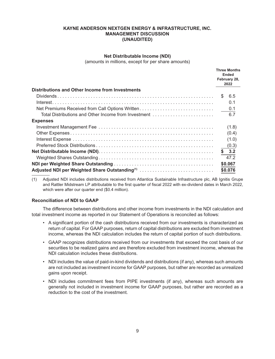#### **Net Distributable Income (NDI)**

(amounts in millions, except for per share amounts)

|                                                            |     | <b>Three Months</b><br><b>Ended</b><br>February 28,<br>2022 |
|------------------------------------------------------------|-----|-------------------------------------------------------------|
| Distributions and Other Income from Investments            |     |                                                             |
|                                                            | SS. | - 6.5                                                       |
|                                                            |     | 0.1                                                         |
| Net Premiums Received from Call Options Written            |     | 0.1                                                         |
| Total Distributions and Other Income from Investment       |     | 6.7                                                         |
| <b>Expenses</b>                                            |     |                                                             |
|                                                            |     | (1.8)                                                       |
|                                                            |     | (0.4)                                                       |
|                                                            |     | (1.0)                                                       |
|                                                            |     | (0.3)                                                       |
|                                                            |     | \$3.2                                                       |
|                                                            |     | 47.2                                                        |
|                                                            |     | \$0.067                                                     |
| Adjusted NDI per Weighted Share Outstanding <sup>(1)</sup> |     | \$0.076                                                     |

Adjusted NDI includes distributions received from Atlantica Sustainable Infrastructure plc, AB Ignitis Grupe  $(1)$ and Rattler Midstream LP attributable to the first quarter of fiscal 2022 with ex-dividend dates in March 2022, which were after our quarter end (\$0.4 million).

#### **Reconciliation of NDI to GAAP**

The difference between distributions and other income from investments in the NDI calculation and total investment income as reported in our Statement of Operations is reconciled as follows:

- A significant portion of the cash distributions received from our investments is characterized as return of capital. For GAAP purposes, return of capital distributions are excluded from investment income, whereas the NDI calculation includes the return of capital portion of such distributions.
- GAAP recognizes distributions received from our investments that exceed the cost basis of our securities to be realized gains and are therefore excluded from investment income, whereas the NDI calculation includes these distributions.
- NDI includes the value of paid-in-kind dividends and distributions (if any), whereas such amounts are not included as investment income for GAAP purposes, but rather are recorded as unrealized gains upon receipt.
- NDI includes commitment fees from PIPE investments (if any), whereas such amounts are generally not included in investment income for GAAP purposes, but rather are recorded as a reduction to the cost of the investment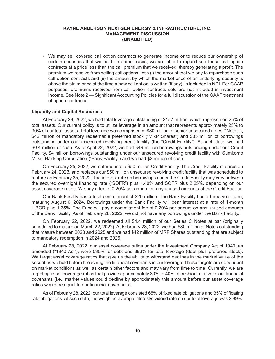• We may sell covered call option contracts to generate income or to reduce our ownership of certain securities that we hold. In some cases, we are able to repurchase these call option contracts at a price less than the call premium that we received, thereby generating a profit. The premium we receive from selling call options, less (i) the amount that we pay to repurchase such call option contracts and (ii) the amount by which the market price of an underlying security is above the strike price at the time a new call option is written (if any), is included in NDI. For GAAP purposes, premiums received from call option contracts sold are not included in investment income. See Note 2 — Significant Accounting Policies for a full discussion of the GAAP treatment of option contracts.

#### **Liquidity and Capital Resources**

At February 28, 2022, we had total leverage outstanding of \$157 million, which represented 25% of total assets. Our current policy is to utilize leverage in an amount that represents approximately 25% to 30% of our total assets. Total leverage was comprised of \$80 million of senior unsecured notes ("Notes"), \$42 million of mandatory redeemable preferred stock ("MRP Shares") and \$35 million of borrowings outstanding under our unsecured revolving credit facility (the "Credit Facility"). At such date, we had \$0.4 million of cash. As of April 22, 2022, we had \$49 million borrowings outstanding under our Credit Facility, \$4 million borrowings outstanding under our unsecured revolving credit facility with Sumitomo Mitsui Banking Corporation ("Bank Facility") and we had \$2 million of cash.

On February 25, 2022, we entered into a \$50 million Credit Facility. The Credit Facility matures on February 24, 2023, and replaces our \$50 million unsecured revolving credit facility that was scheduled to mature on February 25, 2022. The interest rate on borrowings under the Credit Facility may vary between the secured overnight financing rate ("SOFR") plus 1.40% and SOFR plus 2.25%, depending on our asset coverage ratios. We pay a fee of 0.20% per annum on any unused amounts of the Credit Facility.

Our Bank Facility has a total commitment of \$20 million. The Bank Facility has a three-year term, maturing August 6, 2024. Borrowings under the Bank Facility will bear interest at a rate of 1-month LIBOR plus 1.35%. The Fund will pay a commitment fee of 0.20% per annum on any unused amounts of the Bank Facility. As of February 28, 2022, we did not have any borrowings under the Bank Facility.

On February 22, 2022, we redeemed all \$4.4 million of our Series C Notes at par (originally scheduled to mature on March 22, 2022). At February 28, 2022, we had \$80 million of Notes outstanding that mature between 2023 and 2025 and we had \$42 million of MRP Shares outstanding that are subject to mandatory redemption in 2024 and 2026.

At February 28, 2022, our asset coverage ratios under the Investment Company Act of 1940, as amended ("1940 Act"), were 535% for debt and 393% for total leverage (debt plus preferred stock). We target asset coverage ratios that give us the ability to withstand declines in the market value of the securities we hold before breaching the financial covenants in our leverage. These targets are dependent on market conditions as well as certain other factors and may vary from time to time. Currently, we are targeting asset coverage ratios that provide approximately 30% to 40% of cushion relative to our financial covenants (i.e., market values could decline by approximately this amount before our asset coverage ratios would be equal to our financial covenants).

As of February 28, 2022, our total leverage consisted 65% of fixed rate obligations and 35% of floating rate obligations. At such date, the weighted average interest/dividend rate on our total leverage was 2.89%.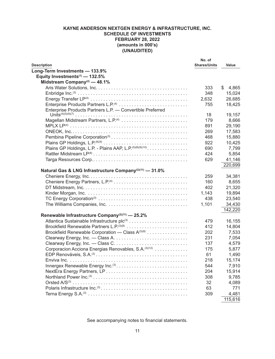|                                                                     | No. of              |             |
|---------------------------------------------------------------------|---------------------|-------------|
| <b>Description</b>                                                  | <b>Shares/Units</b> | Value       |
| Long-Term Investments - 133.9%                                      |                     |             |
| Equity Investments <sup>(1)</sup> - 132.5%                          |                     |             |
| Midstream Company <sup>(2)</sup> - 48.1%                            |                     |             |
|                                                                     | 333                 | \$<br>4,865 |
|                                                                     | 348                 | 15,024      |
|                                                                     | 2,632               | 26,685      |
|                                                                     | 755                 | 18,425      |
| Enterprise Products Partners L.P. - Convertible Preferred           |                     |             |
|                                                                     | 18                  | 19,157      |
| Magellan Midstream Partners, L.P. <sup>(4)</sup>                    | 179                 | 8,666       |
|                                                                     | 891                 | 29,190      |
|                                                                     | 269                 | 17,583      |
|                                                                     | 468                 | 15,880      |
|                                                                     | 922                 | 10,425      |
| Plains GP Holdings, L.P. - Plains AAP, L.P. (5)(8)(9)(10)           | 690                 | 7,799       |
|                                                                     | 424                 | 5,854       |
|                                                                     | 629                 | 41,146      |
|                                                                     |                     | 220,699     |
| Natural Gas & LNG Infrastructure Company <sup>(2)(11)</sup> - 31.0% |                     |             |
|                                                                     | 259                 | 34,381      |
|                                                                     | 160                 | 8,655       |
|                                                                     | 402                 | 21,320      |
|                                                                     | 1,143               | 19,894      |
|                                                                     | 438                 | 23,540      |
|                                                                     | 1,101               | 34,430      |
|                                                                     |                     | 142,220     |
| Renewable Infrastructure Company <sup>(2)(11)</sup> - 25.2%         |                     |             |
|                                                                     | 479                 | 16,155      |
|                                                                     | 412                 | 14,804      |
| Brookfield Renewable Corporation - Class A(3)(8)                    | 202                 | 7,533       |
|                                                                     | 231                 | 7,054       |
|                                                                     | 137                 | 4,579       |
| Corporacion Acciona Energias Renovables, S.A. <sup>(3)(12)</sup>    | 175                 | 5,877       |
|                                                                     | 61                  | 1,490       |
|                                                                     | 218                 | 15,174      |
| Innergex Renewable Energy Inc. <sup>(3)</sup>                       | 544                 | 7,910       |
|                                                                     | 204                 |             |
|                                                                     |                     | 15,914      |
|                                                                     | 308                 | 9,785       |
|                                                                     | 32                  | 4,089       |
|                                                                     | 63                  | 771         |
|                                                                     | 309                 | 4,481       |
|                                                                     |                     | 115,616     |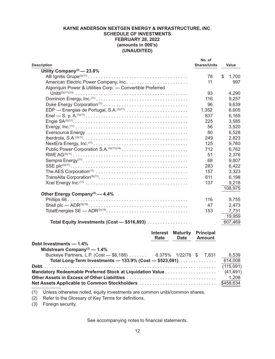| <b>Description</b>                                        | No. of<br><b>Shares/Units</b> | Value       |
|-----------------------------------------------------------|-------------------------------|-------------|
| Utility Company <sup>(2)</sup> — 23.8%                    |                               |             |
|                                                           | 78                            | \$<br>1,700 |
| American Electric Power Company, Inc                      | 11                            | 997         |
| Algonquin Power & Utilities Corp. - Convertible Preferred |                               |             |
|                                                           | 93                            | 4,290       |
|                                                           | 116                           | 9,257       |
|                                                           | 96                            | 9,639       |
| EDP - Energias de Portugal, S.A. <sup>(3)(11)</sup>       | 1,352                         | 6,605       |
|                                                           | 837                           | 6,165       |
|                                                           | 225                           | 3,585       |
|                                                           | 56                            | 3,520       |
|                                                           | 80                            | 6,528       |
|                                                           | 249                           | 2,823       |
|                                                           | 125                           | 9,760       |
|                                                           | 712                           | 6,762       |
|                                                           | 51                            | 2,376       |
|                                                           | 68                            | 9,807       |
|                                                           | 283                           | 6,422       |
|                                                           | 157                           | 3,323       |
|                                                           | 611                           | 6,198       |
|                                                           | 137                           | 9,218       |
|                                                           |                               | 108,975     |
| Other Energy Company <sup>(2)</sup> - 4.4%                |                               |             |
|                                                           | 116                           | 9,755       |
|                                                           | 47                            | 2,473       |
|                                                           | 153                           | 7,731       |
|                                                           |                               | 19,959      |
| Total Equity Investments (Cost - \$516,893)               |                               | 607,469     |
| <b>Maturity</b><br><b>Interest</b>                        | <b>Principal</b>              |             |

|                                                                | Rate | <b>Date</b> | <b>Amount</b> |           |
|----------------------------------------------------------------|------|-------------|---------------|-----------|
| Debt Investments - 1.4%                                        |      |             |               |           |
| Midstream Company <sup>(2)</sup> — $1.4\%$                     |      |             |               |           |
| Buckeye Partners, L.P. (Cost - \$6,188) 6.375% 1/22/78 \$7,831 |      |             |               | 6,539     |
| Total Long-Term Investments - 133.9% (Cost - \$523,081).       |      |             |               | 614,008   |
|                                                                |      |             |               | (115,091) |
|                                                                |      |             |               |           |
|                                                                |      |             |               | 1,208     |
| <b>Net Assets Applicable to Common Stockholders</b>            |      |             |               | \$458,634 |

(1) Unless otherwise noted, equity investments are common units/common shares.

(2) Refer to the Glossary of Key Terms for definitions.

(3) Foreign security.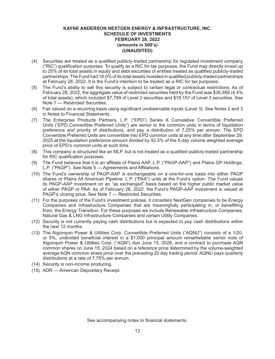- (4) Securities are treated as a qualified publicly-traded partnership for regulated investment company ("RIC") qualification purposes. To qualify as a RIC for tax purposes, the Fund may directly invest up to 25% of its total assets in equity and debt securities of entities treated as qualified publicly-traded partnerships. The Fund had 18.0% of its total assets invested in qualified publicly-traded partnerships at February 28, 2022. It is the Fund's intention to be treated as a RIC for tax purposes.
- (5) The Fund's ability to sell this security is subject to certain legal or contractual restrictions. As of February 28, 2022, the aggregate value of restricted securities held by the Fund was \$26,956 (4.4% of total assets), which included \$7,799 of Level 2 securities and \$19,157 of Level 3 securities. See Note 7 — Restricted Securities.
- (6) Fair valued on a recurring basis using significant unobservable inputs (Level 3). See Notes 2 and 3 in Notes to Financial Statements.
- (7) The Enterprise Products Partners, L.P. ("EPD") Series A Cumulative Convertible Preferred Units ("EPD Convertible Preferred Units") are senior to the common units in terms of liquidation preference and priority of distributions, and pay a distribution of 7.25% per annum. The EPD Convertible Preferred Units are convertible into EPD common units at any time after September 29, 2025 at the liquidation preference amount divided by 92.5% of the 5-day volume weighted average price of EPD's common units at such time.
- (8) This company is structured like an MLP, but is not treated as a qualified publicly-traded partnership for RIC qualification purposes.
- (9) The Fund believes that it is an affiliate of Plains AAP, L.P. ("PAGP-AAP") and Plains GP Holdings, L.P. ("PAGP"). See Note 5 — Agreements and Affiliations.
- (10) The Fund's ownership of PAGP-AAP is exchangeable on a one-for-one basis into either PAGP shares or Plains All American Pipeline, L.P. ("PAA") units at the Fund's option. The Fund values its PAGP-AAP investment on an "as exchanged" basis based on the higher public market value of either PAGP or PAA. As of February 28, 2022, the Fund's PAGP-AAP investment is valued at PAGP's closing price. See Note 7 — Restricted Securities.
- (11) For the purposes of the Fund's investment policies, it considers NextGen companies to be Energy Companies and Infrastructure Companies that are meaningfully participating in, or benefitting from, the Energy Transition. For these purposes we include Renewable Infrastructure Companies, Natural Gas & LNG Infrastructure Companies and certain Utility Companies.
- (12) Security is not currently paying cash distributions but is expected to pay cash distributions within the next 12 months.
- (13) The Algonquin Power & Utilities Corp. Convertible Preferred Units ("AQNU") consists of a 1/20, or 5%, undivided beneficial interest in a \$1,000 principal amount remarketable senior note of Algonquin Power & Utilities Corp. ("AQN") due June 15, 2026, and a contract to purchase AQN common shares on June 15, 2024 based on a reference price determined by the volume-weighted average AQN common share price over the preceding 20 day trading period. AQNU pays quarterly distributions at a rate of 7.75% per annum.
- (14) Security is non-income producing.
- (15) ADR American Depositary Receipt.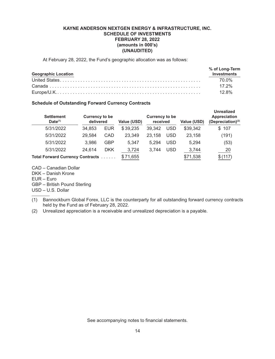At February 28, 2022, the Fund's geographic allocation was as follows:

| <b>Geographic Location</b> | % of Long-Term<br><b>Investments</b> |
|----------------------------|--------------------------------------|
|                            |                                      |
|                            | 70 0%                                |
|                            | $17.2\%$                             |
|                            | $12.8\%$                             |

# **Schedule of Outstanding Forward Currency Contracts**

| <b>Settlement</b><br>$Date^{(1)}$ | <b>Currency to be</b><br>delivered |            | Value (USD) | <b>Currency to be</b><br>received |            | Value (USD) | <b>Unrealized</b><br><b>Appreciation</b><br>(Depreciation) <sup>(2)</sup> |
|-----------------------------------|------------------------------------|------------|-------------|-----------------------------------|------------|-------------|---------------------------------------------------------------------------|
| 5/31/2022                         | 34.853                             | <b>EUR</b> | \$39,235    | 39.342                            | USD        | \$39,342    | 107<br>\$                                                                 |
| 5/31/2022                         | 29,584                             | CAD        | 23,349      | 23,158                            | <b>USD</b> | 23,158      | (191)                                                                     |
| 5/31/2022                         | 3,986                              | GBP        | 5,347       | 5.294                             | <b>USD</b> | 5,294       | (53)                                                                      |
| 5/31/2022                         | 24.614                             | <b>DKK</b> | 3,724       | 3,744                             | USD        | 3,744       | 20                                                                        |
| Total Forward Currency Contracts  |                                    |            | \$71,655    |                                   |            | \$71,538    | \$(117)                                                                   |

CAD – Canadian Dollar DKK – Danish Krone EUR – Euro

GBP – British Pound Sterling

USD – U.S. Dollar

- (1) Bannockburn Global Forex, LLC is the counterparty for all outstanding forward currency contracts held by the Fund as of February 28, 2022.
- (2) Unrealized appreciation is a receivable and unrealized depreciation is a payable.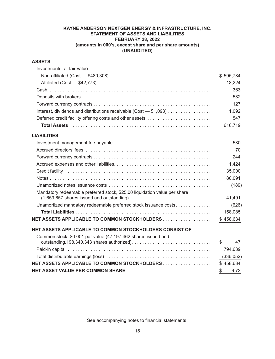# **KAYNE ANDERSON NEXTGEN ENERGY & INFRASTRUCTURE, INC. STATEMENT OF ASSETS AND LIABILITIES FEBRUARY 28, 2022 (amounts in 000's, except share and per share amounts) (UNAUDITED)**

# **ASSETS**

| Investments, at fair value:                                                                                                                                                                      |            |
|--------------------------------------------------------------------------------------------------------------------------------------------------------------------------------------------------|------------|
|                                                                                                                                                                                                  | \$595,784  |
|                                                                                                                                                                                                  | 18,224     |
|                                                                                                                                                                                                  | 363        |
|                                                                                                                                                                                                  | 582        |
|                                                                                                                                                                                                  | 127        |
| Interest, dividends and distributions receivable (Cost - \$1,093)                                                                                                                                | 1,092      |
| Deferred credit facility offering costs and other assets                                                                                                                                         | 547        |
|                                                                                                                                                                                                  | 616,719    |
| <b>LIABILITIES</b>                                                                                                                                                                               |            |
|                                                                                                                                                                                                  | 580        |
|                                                                                                                                                                                                  | 70         |
|                                                                                                                                                                                                  | 244        |
|                                                                                                                                                                                                  | 1,424      |
|                                                                                                                                                                                                  | 35,000     |
|                                                                                                                                                                                                  | 80,091     |
|                                                                                                                                                                                                  | (189)      |
| Mandatory redeemable preferred stock, \$25.00 liquidation value per share<br>$(1,659,657)$ shares issued and outstanding $\ldots \ldots \ldots \ldots \ldots \ldots \ldots \ldots \ldots \ldots$ | 41,491     |
| Unamortized mandatory redeemable preferred stock issuance costs                                                                                                                                  | (626)      |
|                                                                                                                                                                                                  | 158,085    |
| NET ASSETS APPLICABLE TO COMMON STOCKHOLDERS                                                                                                                                                     | \$458,634  |
| NET ASSETS APPLICABLE TO COMMON STOCKHOLDERS CONSIST OF                                                                                                                                          |            |
| Common stock, \$0.001 par value (47,197,462 shares issued and                                                                                                                                    |            |
|                                                                                                                                                                                                  | \$<br>47   |
|                                                                                                                                                                                                  | 794,639    |
|                                                                                                                                                                                                  | (336, 052) |
| NET ASSETS APPLICABLE TO COMMON STOCKHOLDERS                                                                                                                                                     | \$458,634  |
|                                                                                                                                                                                                  | 9.72<br>\$ |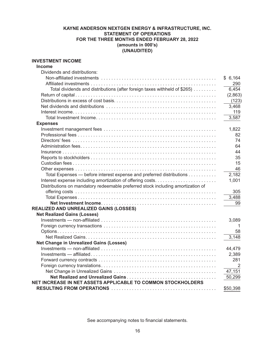# **KAYNE ANDERSON NEXTGEN ENERGY & INFRASTRUCTURE, INC. STATEMENT OF OPERATIONS FOR THE THREE MONTHS ENDED FEBRUARY 28, 2022 (amounts in 000's) (UNAUDITED)**

# **INVESTMENT INCOME**

| <b>Income</b>                                                                   |          |
|---------------------------------------------------------------------------------|----------|
| Dividends and distributions:                                                    |          |
|                                                                                 | \$6,164  |
|                                                                                 | 290      |
| Total dividends and distributions (after foreign taxes withheld of \$265)       | 6,454    |
|                                                                                 | (2,863)  |
|                                                                                 | (123)    |
|                                                                                 | 3,468    |
|                                                                                 | 119      |
|                                                                                 | 3,587    |
| <b>Expenses</b>                                                                 |          |
|                                                                                 | 1,822    |
|                                                                                 | 82       |
|                                                                                 | 74       |
|                                                                                 | 64       |
|                                                                                 | 44       |
|                                                                                 | 35       |
|                                                                                 | 15       |
|                                                                                 | 46       |
| Total Expenses - before interest expense and preferred distributions            | 2,182    |
|                                                                                 | 1,001    |
| Distributions on mandatory redeemable preferred stock including amortization of |          |
|                                                                                 | 305      |
|                                                                                 | 3,488    |
|                                                                                 | 99       |
| REALIZED AND UNREALIZED GAINS (LOSSES)                                          |          |
| <b>Net Realized Gains (Losses)</b>                                              |          |
|                                                                                 | 3,089    |
|                                                                                 | -1       |
|                                                                                 | 58       |
|                                                                                 | 3,148    |
| <b>Net Change in Unrealized Gains (Losses)</b>                                  |          |
|                                                                                 | 44,479   |
|                                                                                 | 2,389    |
|                                                                                 | 281      |
|                                                                                 | 2        |
|                                                                                 | 47,151   |
|                                                                                 | 50,299   |
| NET INCREASE IN NET ASSETS APPLICABLE TO COMMON STOCKHOLDERS                    |          |
|                                                                                 | \$50,398 |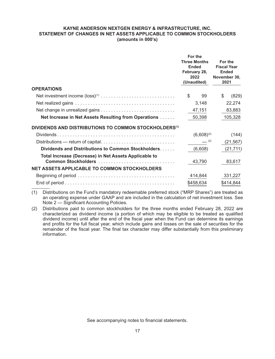#### **KAYNE ANDERSON NEXTGEN ENERGY & INFRASTRUCTURE, INC. STATEMENT OF CHANGES IN NET ASSETS APPLICABLE TO COMMON STOCKHOLDERS (amounts in 000's)**

|                                                                              |              | For the<br><b>Three Months</b><br><b>Ended</b><br>February 28,<br>2022<br>(Unaudited) | For the<br><b>Fiscal Year</b><br><b>Ended</b><br>November 30,<br>2021 |
|------------------------------------------------------------------------------|--------------|---------------------------------------------------------------------------------------|-----------------------------------------------------------------------|
| <b>OPERATIONS</b>                                                            |              |                                                                                       |                                                                       |
|                                                                              | $\mathbb{S}$ | 99                                                                                    | \$<br>(829)                                                           |
|                                                                              |              | 3,148                                                                                 | 22,274                                                                |
|                                                                              |              | 47,151                                                                                | 83,883                                                                |
| Net Increase in Net Assets Resulting from Operations                         |              | 50,398                                                                                | 105,328                                                               |
| DIVIDENDS AND DISTRIBUTIONS TO COMMON STOCKHOLDERS <sup>(1)</sup>            |              |                                                                                       |                                                                       |
|                                                                              |              | $(6,608)^{(2)}$                                                                       | (144)                                                                 |
|                                                                              |              | $-$ (2)                                                                               | (21, 567)                                                             |
| Dividends and Distributions to Common Stockholders                           |              | (6,608)                                                                               | (21, 711)                                                             |
| Total Increase (Decrease) in Net Assets Applicable to<br>Common Stockholders |              | 43,790                                                                                | 83,617                                                                |
| <b>NET ASSETS APPLICABLE TO COMMON STOCKHOLDERS</b>                          |              |                                                                                       |                                                                       |
|                                                                              |              | 414,844                                                                               | 331,227                                                               |
|                                                                              |              | \$458,634                                                                             | \$414,844                                                             |

(1) Distributions on the Fund's mandatory redeemable preferred stock ("MRP Shares") are treated as an operating expense under GAAP and are included in the calculation of net investment loss. See Note 2 — Significant Accounting Policies.

(2) Distributions paid to common stockholders for the three months ended February 28, 2022 are characterized as dividend income (a portion of which may be eligible to be treated as qualified dividend income) until after the end of the fiscal year when the Fund can determine its earnings and profits for the full fiscal year, which include gains and losses on the sale of securities for the remainder of the fiscal year. The final tax character may differ substantially from this preliminary information.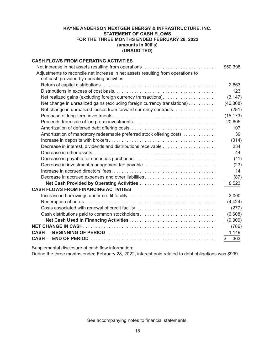# **KAYNE ANDERSON NEXTGEN ENERGY & INFRASTRUCTURE, INC. STATEMENT OF CASH FLOWS FOR THE THREE MONTHS ENDED FEBRUARY 28, 2022 (amounts in 000's) (UNAUDITED)**

# **CASH FLOWS FROM OPERATING ACTIVITIES** Net increase in net assets resulting from operations . . . . . . . . . . . . . . . . . . . . . . . . . . . . . \$50,398 Adjustments to reconcile net increase in net assets resulting from operations to net cash provided by operating activities: Return of capital distributions . . . . . . . . . . . . . . . . . . . . . . . . . . . . . . . . . . . . . . . . . . . . . 2,863 Distributions in excess of cost basis . . . . . . . . . . . . . . . . . . . . . . . . . . . . . . . . . . . . . . . . 123 Net realized gains (excluding foreign currency transactions) . . . . . . . . . . . . . . . . . . . . . (3,147) Net change in unrealized gains (excluding foreign currency translations) . . . . . . . . . . . (46,868) Net change in unrealized losses from forward currency contracts . . . . . . . . . . . . . . . . . (281) Purchase of long-term investments . . . . . . . . . . . . . . . . . . . . . . . . . . . . . . . . . . . . . . . . (15,173) Proceeds from sale of long-term investments . . . . . . . . . . . . . . . . . . . . . . . . . . . . . . . . 20,605 Amortization of deferred debt offering costs . . . . . . . . . . . . . . . . . . . . . . . . . . . . . . . . . . 107 Amortization of mandatory redeemable preferred stock offering costs . . . . . . . . . . . . . 39 Increase in deposits with brokers . . . . . . . . . . . . . . . . . . . . . . . . . . . . . . . . . . . . . . . . . . (314) Decrease in interest, dividends and distributions receivable . . . . . . . . . . . . . . . . . . . . . 234 Decrease in other assets . . . . . . . . . . . . . . . . . . . . . . . . . . . . . . . . . . . . . . . . . . . . . . . . 44 Decrease in payable for securities purchased . . . . . . . . . . . . . . . . . . . . . . . . . . . . . . . . (11) Decrease in investment management fee payable . . . . . . . . . . . . . . . . . . . . . . . . . . . . (23) Increase in accrued directors' fees . . . . . . . . . . . . . . . . . . . . . . . . . . . . . . . . . . . . . . . . . 14 Decrease in accrued expenses and other liabilities . . . . . . . . . . . . . . . . . . . . . . . . . . . . (87) **Net Cash Provided by Operating Activities** . . . . . . . . . . . . . . . . . . . . . . . . . . . . . . 8,523 **CASH FLOWS FROM FINANCING ACTIVITIES** Increase in borrowings under credit facility . . . . . . . . . . . . . . . . . . . . . . . . . . . . . . . . . . 2,000 Redemption of notes . . . . . . . . . . . . . . . . . . . . . . . . . . . . . . . . . . . . . . . . . . . . . . . . . . . (4,424) Costs associated with renewal of credit facility . . . . . . . . . . . . . . . . . . . . . . . . . . . . . . . (277) Cash distributions paid to common stockholders . . . . . . . . . . . . . . . . . . . . . . . . . . . . . . (6,608) **Net Cash Used in Financing Activities** . . . . . . . . . . . . . . . . . . . . . . . . . . . . . . . . . . (9,309) **NET CHANGE IN CASH** . . . . . . . . . . . . . . . . . . . . . . . . . . . . . . . . . . . . . . . . . . . . . . . . . . . . (786) **CASH — BEGINNING OF PERIOD** . . . . . . . . . . . . . . . . . . . . . . . . . . . . . . . . . . . . . . . . . . . 1,149 **CASH — END OF PERIOD** . . . . . . . . . . . . . . . . . . . . . . . . . . . . . . . . . . . . . . . . . . . . . . . . . \$ 363

Supplemental disclosure of cash flow information:

During the three months ended February 28, 2022, interest paid related to debt obligations was \$999.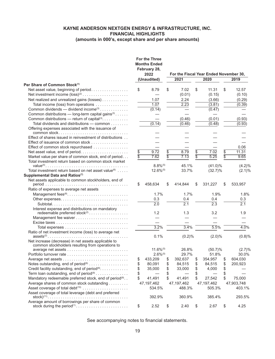|                                                                                            |    | <b>For the Three</b><br><b>Months Ended</b><br>February 28,<br>2022 | For the Fiscal Year Ended November 30, |                 |              |                 |            |
|--------------------------------------------------------------------------------------------|----|---------------------------------------------------------------------|----------------------------------------|-----------------|--------------|-----------------|------------|
|                                                                                            |    | (Unaudited)                                                         | 2021                                   |                 | 2020         |                 | 2019       |
| Per Share of Common Stock <sup>(1)</sup>                                                   |    |                                                                     |                                        |                 |              |                 |            |
| Net asset value, beginning of period                                                       | \$ | 8.79                                                                | \$<br>7.02                             | \$              | 11.31        | \$              | 12.57      |
|                                                                                            |    |                                                                     | (0.01)                                 |                 | (0.15)       |                 | (0.10)     |
| Net realized and unrealized gains (losses)                                                 |    | 1.07                                                                | 2.24                                   |                 | (3.66)       |                 | (0.29)     |
| Total income (loss) from operations                                                        |    | 1.07                                                                | 2.23                                   |                 | (3.81)       |                 | (0.39)     |
| Common dividends — dividend income <sup>(3)</sup>                                          |    | (0.14)                                                              |                                        |                 | (0.47)       |                 |            |
| Common distributions - long-term capital gains <sup>(3)</sup>                              |    |                                                                     |                                        |                 |              |                 |            |
| Common distributions — return of capital <sup>(3)</sup> .                                  |    |                                                                     | (0.46)                                 |                 | (0.01)       |                 | (0.93)     |
| Total dividends and distributions - common                                                 |    | (0.14)                                                              | (0.46)                                 |                 | (0.48)       |                 | (0.93)     |
| Offering expenses associated with the issuance of<br>common stock                          |    |                                                                     |                                        |                 |              |                 |            |
| Effect of shares issued in reinvestment of distributions                                   |    |                                                                     |                                        |                 |              |                 |            |
| Effect of issuance of common stock                                                         |    |                                                                     |                                        |                 |              |                 |            |
| Effect of common stock repurchased                                                         |    |                                                                     |                                        |                 |              |                 | 0.06       |
| Net asset value, end of period                                                             | \$ | 9.72                                                                | \$<br>8.79                             | $\overline{\$}$ | 7.02         | $\overline{\$}$ | 11.31      |
| Market value per share of common stock, end of period                                      | 5  | 7.62                                                                | \$<br>7.13                             | ₹               | 5.25         | ₹               | 9.65       |
| Total investment return based on common stock market                                       |    |                                                                     |                                        |                 |              |                 |            |
|                                                                                            |    | $8.8\%$ <sup>(5)</sup>                                              | 45.1%                                  |                 | $(41.0)\%$   |                 | $(4.2)\%$  |
| Total investment return based on net asset value <sup>(6)</sup>                            |    | $12.6\%$ <sup>(5)</sup>                                             | 33.7%                                  |                 | $(32.7)\%$   |                 | $(2.1)\%$  |
| Supplemental Data and Ratios(7)                                                            |    |                                                                     |                                        |                 |              |                 |            |
| Net assets applicable to common stockholders, end of                                       |    |                                                                     |                                        |                 |              |                 |            |
|                                                                                            | \$ | 458,634                                                             | \$<br>414,844                          | \$              | 331,227      | \$              | 533,957    |
| Ratio of expenses to average net assets                                                    |    |                                                                     |                                        |                 |              |                 |            |
| Management fees <sup>(8)</sup>                                                             |    | 1.7%                                                                | 1.7%                                   |                 | 1.9%         |                 | 1.8%       |
|                                                                                            |    | 0.3                                                                 | 0.4                                    |                 | 0.4          |                 | 0.3        |
|                                                                                            |    | 2.0                                                                 | $\overline{2.1}$                       |                 | 2.3          |                 | 2.1        |
| Interest expense and distributions on mandatory                                            |    | 1.2                                                                 | 1.3                                    |                 | 3.2          |                 | 1.9        |
| redeemable preferred stock <sup>(2)</sup>                                                  |    |                                                                     |                                        |                 |              |                 |            |
|                                                                                            |    |                                                                     |                                        |                 |              |                 |            |
|                                                                                            |    | 3.2%                                                                | 3.4%                                   |                 | 5.5%         |                 | 4.0%       |
| Ratio of net investment income (loss) to average net                                       |    |                                                                     |                                        |                 |              |                 |            |
|                                                                                            |    | 0.1%                                                                | (0.2)%                                 |                 | $(2.0)\%$    |                 | (0.8)%     |
| Net increase (decrease) in net assets applicable to                                        |    |                                                                     |                                        |                 |              |                 |            |
| common stockholders resulting from operations to                                           |    |                                                                     |                                        |                 |              |                 |            |
|                                                                                            |    | $11.6\%$ <sup>(5)</sup>                                             | 26.8%                                  |                 | $(50.7)\%$   |                 | (2.7)%     |
|                                                                                            |    | $2.6\%$ <sup>(5)</sup>                                              | 29.7%                                  |                 | 51.8%        |                 | 30.0%      |
|                                                                                            | \$ | 433.209                                                             | \$<br>392,637                          | \$              | 354,957      | \$              | 604.030    |
| Notes outstanding, end of period <sup>(9)</sup>                                            | \$ | 80,091                                                              | \$<br>84,515                           | \$              | 84,515       | \$              | 200,923    |
| Credit facility outstanding, end of period <sup>(9)</sup> .                                | \$ | 35,000                                                              | \$<br>33,000                           | \$              | 4,000        | \$              |            |
| Term loan outstanding, end of period <sup>(9)</sup>                                        |    |                                                                     | \$                                     | \$              |              | \$              |            |
| Mandatory redeemable preferred stock, end of period <sup>(9)</sup>                         | \$ | 41,491                                                              | \$<br>41,491                           | \$              | 27,542       | \$              | 75,000     |
| Average shares of common stock outstanding                                                 |    | 47, 197, 462                                                        | 47, 197, 462                           |                 | 47, 197, 462 |                 | 47,903,748 |
|                                                                                            |    | 534.5%                                                              | 488.3%                                 |                 | 505.3%       |                 | 403.1%     |
| Asset coverage of total leverage (debt and preferred                                       |    | 392.9%                                                              | 360.9%                                 |                 | 385.4%       |                 | 293.5%     |
| Average amount of borrowings per share of common<br>stock during the period <sup>(1)</sup> | \$ | 2.52                                                                | \$<br>2.40                             | \$              | 2.67         | \$              | 4.25       |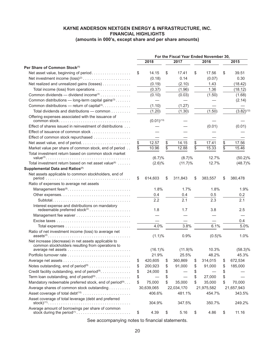|                                                                                                                                                                  |                          |    |                  |                 | For the Fiscal Year Ended November 30, |         |                 |
|------------------------------------------------------------------------------------------------------------------------------------------------------------------|--------------------------|----|------------------|-----------------|----------------------------------------|---------|-----------------|
|                                                                                                                                                                  | 2018                     |    | 2017             |                 | 2016                                   |         | 2015            |
| Per Share of Common Stock <sup>(1)</sup>                                                                                                                         |                          |    |                  |                 |                                        |         |                 |
| Net asset value, beginning of period                                                                                                                             | \$<br>14.15              | \$ | 17.41            | \$              | 17.56                                  | \$      | 39.51           |
|                                                                                                                                                                  | (0.18)                   |    | 0.14             |                 | (0.07)                                 |         | 0.30            |
| Net realized and unrealized gains (losses)                                                                                                                       | (0.19)                   |    | (2.10)           |                 | 1.43                                   |         | (18.42)         |
| Total income (loss) from operations                                                                                                                              | (0.37)                   |    | (1.96)           |                 | 1.36                                   |         | (18.12)         |
| Common dividends — dividend income <sup>(3)</sup>                                                                                                                | (0.10)                   |    | (0.03)           |                 | (1.50)                                 |         | (1.68)          |
| Common distributions - long-term capital gains <sup>(3)</sup>                                                                                                    |                          |    |                  |                 |                                        |         | (2.14)          |
| Common distributions — return of capital <sup>(3)</sup> .                                                                                                        | (1.10)                   |    | (1.27)           |                 |                                        |         |                 |
| Total dividends and distributions - common                                                                                                                       | (1.20)                   |    | (1.30)           |                 | (1.50)                                 |         | $(3.82)^{(12)}$ |
| Offering expenses associated with the issuance of                                                                                                                | $(0.01)^{(13)}$          |    |                  |                 |                                        |         |                 |
| Effect of shares issued in reinvestment of distributions                                                                                                         |                          |    |                  |                 | (0.01)                                 |         | (0.01)          |
| Effect of issuance of common stock                                                                                                                               |                          |    |                  |                 |                                        |         |                 |
| Effect of common stock repurchased                                                                                                                               |                          |    |                  |                 |                                        |         |                 |
|                                                                                                                                                                  | \$<br>12.57              | \$ | 14.15            | \$              | 17.41                                  | \$      | 17.56           |
| Market value per share of common stock, end of period                                                                                                            | 10.96                    |    | 12.88            | $\overline{\$}$ | 15.33                                  | -<br>\$ | 15.46           |
| Total investment return based on common stock market                                                                                                             |                          |    |                  |                 |                                        |         |                 |
|                                                                                                                                                                  | (6.7)%                   |    | $(8.7)\%$        |                 | 12.7%                                  |         | $(50.2)\%$      |
| Total investment return based on net asset value <sup>(6)</sup>                                                                                                  | $(2.6)\%$                |    | $(11.7)\%$       |                 | 12.7%                                  |         | $(48.7)\%$      |
| Supplemental Data and Ratios(7)                                                                                                                                  |                          |    |                  |                 |                                        |         |                 |
| Net assets applicable to common stockholders, end of                                                                                                             | \$<br>614,603            | \$ | 311,843          | \$              | 383,557                                | S       | 380,478         |
| Ratio of expenses to average net assets                                                                                                                          |                          |    |                  |                 |                                        |         |                 |
|                                                                                                                                                                  | 1.8%                     |    | 1.7%             |                 | 1.8%                                   |         | 1.9%            |
|                                                                                                                                                                  | 0.4                      |    | 0.4              |                 | 0.5                                    |         | 0.2             |
|                                                                                                                                                                  | 2.2                      |    | 2.1              |                 | 2.3                                    |         | 2.1             |
| Interest expense and distributions on mandatory                                                                                                                  | 1.8                      |    | 1.7              |                 | 3.8                                    |         | 2.5             |
|                                                                                                                                                                  |                          |    |                  |                 |                                        |         |                 |
|                                                                                                                                                                  |                          |    |                  |                 |                                        |         | 0.4             |
|                                                                                                                                                                  | 4.0%                     |    | 3.8%             |                 | 6.1%                                   |         | 5.0%            |
| Ratio of net investment income (loss) to average net<br>$assets^{(2)} \dots \dots \dots \dots \dots \dots \dots \dots \dots \dots \dots \dots \dots \dots \dots$ | $(1.1)\%$                |    | 0.9%             |                 | (0.5)%                                 |         | 1.0%            |
| Net increase (decrease) in net assets applicable to                                                                                                              |                          |    |                  |                 |                                        |         |                 |
| common stockholders resulting from operations to                                                                                                                 |                          |    |                  |                 | 10.3%                                  |         | $(58.3)\%$      |
|                                                                                                                                                                  | $(16.1)\%$<br>21.9%      |    | (11.9)%<br>25.5% |                 | 48.2%                                  |         | 45.3%           |
|                                                                                                                                                                  |                          | S  | 360,869          |                 | 314,015                                |         | 672,534         |
| Notes outstanding, end of period <sup>(9)</sup>                                                                                                                  | \$<br>420,605<br>200,923 |    | 91,000           | \$              | 91,000                                 |         | 185,000         |
|                                                                                                                                                                  |                          | \$ |                  | \$              |                                        | \$      |                 |
| Credit facility outstanding, end of period <sup>(9)</sup> .                                                                                                      | \$<br>24,000             | \$ |                  | \$              |                                        | \$      |                 |
| Term loan outstanding, end of period <sup>(9)</sup>                                                                                                              | \$                       | \$ |                  | \$              | 27,000                                 | \$      |                 |
| Mandatory redeemable preferred stock, end of period <sup>(9)</sup>                                                                                               | \$<br>75,000             | \$ | 35,000           | \$              | 35,000                                 | \$      | 70,000          |
| Average shares of common stock outstanding                                                                                                                       | 30,639,065               |    | 22,034,170       |                 | 21,975,582                             |         | 21,657,943      |
|                                                                                                                                                                  | 406.6%                   |    | 481.1%           |                 | 454.7%                                 |         | 343.5%          |
| Asset coverage of total leverage (debt and preferred                                                                                                             | 304.9%                   |    | 347.5%           |                 | 350.7%                                 |         | 249.2%          |
| Average amount of borrowings per share of common<br>stock during the period <sup>(1)</sup>                                                                       | \$<br>4.39               | \$ | 5.16             | \$              | 4.86                                   | \$      | 11.16           |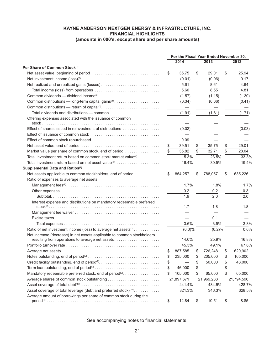|                                                                               |    |            | For the Fiscal Year Ended November 30, |               |
|-------------------------------------------------------------------------------|----|------------|----------------------------------------|---------------|
|                                                                               |    | 2014       | 2013                                   | 2012          |
| Per Share of Common Stock <sup>(1)</sup>                                      |    |            |                                        |               |
|                                                                               | \$ | 35.75      | \$<br>29.01                            | \$<br>25.94   |
|                                                                               |    | (0.01)     | (0.06)                                 | 0.17          |
|                                                                               |    | 5.61       | 8.61                                   | 4.64          |
|                                                                               |    | 5.60       | 8.55                                   | 4.81          |
|                                                                               |    | (1.57)     | (1.15)                                 | (1.30)        |
|                                                                               |    | (0.34)     | (0.66)                                 | (0.41)        |
|                                                                               |    |            |                                        |               |
|                                                                               |    | (1.91)     | (1.81)                                 | (1.71)        |
| Offering expenses associated with the issuance of common                      |    |            |                                        |               |
| Effect of shares issued in reinvestment of distributions                      |    | (0.02)     |                                        | (0.03)        |
|                                                                               |    |            |                                        |               |
|                                                                               |    | 0.09       |                                        |               |
|                                                                               | \$ | 39.51      | \$<br>35.75                            | \$<br>29.01   |
| Market value per share of common stock, end of period                         | \$ | 35.82      | \$<br>32.71                            | \$<br>28.04   |
| Total investment return based on common stock market value <sup>(4)</sup>     |    | 15.3%      | 23.5%                                  | 33.3%         |
| Total investment return based on net asset value <sup>(6)</sup>               |    | 16.4%      | 30.5%                                  | 19.4%         |
| Supplemental Data and Ratios(7)                                               |    |            |                                        |               |
| Net assets applicable to common stockholders, end of period                   | S  | 854,257    | \$<br>788,057                          | \$<br>635,226 |
| Ratio of expenses to average net assets                                       |    |            |                                        |               |
|                                                                               |    | 1.7%       | 1.8%                                   | 1.7%          |
|                                                                               |    | 0.2        | 0.2                                    | 0.3           |
|                                                                               |    | 1.9        | 2.0                                    | 2.0           |
| Interest expense and distributions on mandatory redeemable preferred          |    |            |                                        |               |
|                                                                               |    | 1.7        | 1.8                                    | 1.8           |
|                                                                               |    |            |                                        |               |
|                                                                               |    |            | 0.1                                    |               |
|                                                                               |    | 3.6%       | 3.9%                                   | 3.8%          |
| Ratio of net investment income (loss) to average net assets <sup>(2)</sup>    |    | $(0.0)\%$  | (0.2)%                                 | 0.6%          |
| Net increase (decrease) in net assets applicable to common stockholders       |    |            |                                        |               |
| resulting from operations to average net assets                               |    | 14.0%      | 25.9%                                  | 16.8%         |
|                                                                               |    | 45.3%      | 49.1%                                  | 67.6%         |
|                                                                               | \$ | 887,585    | \$<br>726,248                          | \$<br>620,902 |
|                                                                               | \$ | 235,000    | \$<br>205,000                          | \$<br>165,000 |
| Credit facility outstanding, end of period <sup>(9)</sup>                     | \$ |            | \$<br>50,000                           | \$<br>48,000  |
|                                                                               | \$ | 46,000     | \$                                     | \$            |
| Mandatory redeemable preferred stock, end of period <sup>(9)</sup>            | \$ | 105,000    | \$<br>65,000                           | \$<br>65,000  |
|                                                                               |    | 21,897,671 | 21,969,288                             | 21,794,596    |
|                                                                               |    | 441.4%     | 434.5%                                 | 428.7%        |
| Asset coverage of total leverage (debt and preferred stock) <sup>(11)</sup> . |    | 321.3%     | 346.3%                                 | 328.5%        |
| Average amount of borrowings per share of common stock during the             | \$ | 12.84      | \$<br>10.51                            | \$<br>8.85    |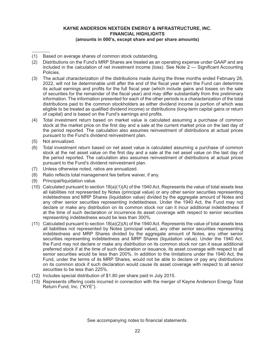- (1) Based on average shares of common stock outstanding.
- (2) Distributions on the Fund's MRP Shares are treated as an operating expense under GAAP and are included in the calculation of net investment income (loss). See Note 2 — Significant Accounting Policies.
- (3) The actual characterization of the distributions made during the three months ended February 28, 2022, will not be determinable until after the end of the fiscal year when the Fund can determine its actual earnings and profits for the full fiscal year (which include gains and losses on the sale of securities for the remainder of the fiscal year) and may differ substantially from this preliminary information. The information presented for each of the other periods is a characterization of the total distributions paid to the common stockholders as either dividend income (a portion of which was eligible to be treated as qualified dividend income) or distributions (long-term capital gains or return of capital) and is based on the Fund's earnings and profits.
- (4) Total investment return based on market value is calculated assuming a purchase of common stock at the market price on the first day and a sale at the current market price on the last day of the period reported. The calculation also assumes reinvestment of distributions at actual prices pursuant to the Fund's dividend reinvestment plan.
- (5) Not annualized.
- (6) Total investment return based on net asset value is calculated assuming a purchase of common stock at the net asset value on the first day and a sale at the net asset value on the last day of the period reported. The calculation also assumes reinvestment of distributions at actual prices pursuant to the Fund's dividend reinvestment plan.
- (7) Unless otherwise noted, ratios are annualized.
- (8) Ratio reflects total management fee before waiver, if any.
- (9) Principal/liquidation value.
- (10) Calculated pursuant to section 18(a)(1)(A) of the 1940 Act. Represents the value of total assets less all liabilities not represented by Notes (principal value) or any other senior securities representing indebtedness and MRP Shares (liquidation value) divided by the aggregate amount of Notes and any other senior securities representing indebtedness. Under the 1940 Act, the Fund may not declare or make any distribution on its common stock nor can it incur additional indebtedness if at the time of such declaration or incurrence its asset coverage with respect to senior securities representing indebtedness would be less than 300%.
- (11) Calculated pursuant to section 18(a)(2)(A) of the 1940 Act. Represents the value of total assets less all liabilities not represented by Notes (principal value), any other senior securities representing indebtedness and MRP Shares divided by the aggregate amount of Notes, any other senior securities representing indebtedness and MRP Shares (liquidation value). Under the 1940 Act, the Fund may not declare or make any distribution on its common stock nor can it issue additional preferred stock if at the time of such declaration or issuance, its asset coverage with respect to all senior securities would be less than 200%. In addition to the limitations under the 1940 Act, the Fund, under the terms of its MRP Shares, would not be able to declare or pay any distributions on its common stock if such declaration would cause its asset coverage with respect to all senior securities to be less than 225%.
- (12) Includes special distribution of \$1.80 per share paid in July 2015.
- (13) Represents offering costs incurred in connection with the merger of Kayne Anderson Energy Total Return Fund, Inc. ("KYE").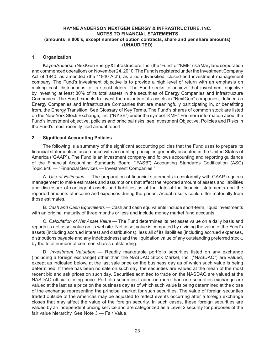#### **1. Organization**

Kayne Anderson NextGen Energy & Infrastructure, Inc. (the "Fund" or "KMF") is a Maryland corporation and commenced operations on November 24, 2010. The Fund is registered under the Investment Company Act of 1940, as amended (the "1940 Act"), as a non-diversified, closed-end investment management company. The Fund's investment objective is to provide a high level of return with an emphasis on making cash distributions to its stockholders. The Fund seeks to achieve that investment objective by investing at least 80% of its total assets in the securities of Energy Companies and Infrastructure Companies. The Fund expects to invest the majority of its assets in "NextGen" companies, defined as Energy Companies and Infrastructure Companies that are meaningfully participating in, or benefitting from, the Energy Transition. See Glossary of Key Terms. The Fund's shares of common stock are listed on the New York Stock Exchange, Inc. ("NYSE") under the symbol "KMF." For more information about the Fund's investment objective, policies and principal risks, see Investment Objective, Policies and Risks in the Fund's most recently filed annual report.

#### **2. Significant Accounting Policies**

The following is a summary of the significant accounting policies that the Fund uses to prepare its financial statements in accordance with accounting principles generally accepted in the United States of America ("GAAP"). The Fund is an investment company and follows accounting and reporting guidance of the Financial Accounting Standards Board ("FASB") Accounting Standards Codification (ASC) Topic 946 — "Financial Services — Investment Companies."

A. *Use of Estimates* — The preparation of financial statements in conformity with GAAP requires management to make estimates and assumptions that affect the reported amount of assets and liabilities and disclosure of contingent assets and liabilities as of the date of the financial statements and the reported amounts of income and expenses during the period. Actual results could differ materially from those estimates.

B. *Cash and Cash Equivalents* — Cash and cash equivalents include short-term, liquid investments with an original maturity of three months or less and include money market fund accounts.

C. *Calculation of Net Asset Value* — The Fund determines its net asset value on a daily basis and reports its net asset value on its website. Net asset value is computed by dividing the value of the Fund's assets (including accrued interest and distributions), less all of its liabilities (including accrued expenses, distributions payable and any indebtedness) and the liquidation value of any outstanding preferred stock, by the total number of common shares outstanding.

D. *Investment Valuation* — Readily marketable portfolio securities listed on any exchange (including a foreign exchange) other than the NASDAQ Stock Market, Inc. ("NASDAQ") are valued, except as indicated below, at the last sale price on the business day as of which such value is being determined. If there has been no sale on such day, the securities are valued at the mean of the most recent bid and ask prices on such day. Securities admitted to trade on the NASDAQ are valued at the NASDAQ official closing price. Portfolio securities traded on more than one securities exchange are valued at the last sale price on the business day as of which such value is being determined at the close of the exchange representing the principal market for such securities. The value of foreign securities traded outside of the Americas may be adjusted to reflect events occurring after a foreign exchange closes that may affect the value of the foreign security. In such cases, these foreign securities are valued by an independent pricing service and are categorized as a Level 2 security for purposes of the fair value hierarchy. See Note 3 — Fair Value.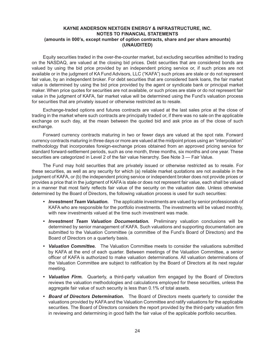Equity securities traded in the over-the-counter market, but excluding securities admitted to trading on the NASDAQ, are valued at the closing bid prices. Debt securities that are considered bonds are valued by using the bid price provided by an independent pricing service or, if such prices are not available or in the judgment of KA Fund Advisors, LLC ("KAFA") such prices are stale or do not represent fair value, by an independent broker. For debt securities that are considered bank loans, the fair market value is determined by using the bid price provided by the agent or syndicate bank or principal market maker. When price quotes for securities are not available, or such prices are stale or do not represent fair value in the judgment of KAFA, fair market value will be determined using the Fund's valuation process for securities that are privately issued or otherwise restricted as to resale.

Exchange-traded options and futures contracts are valued at the last sales price at the close of trading in the market where such contracts are principally traded or, if there was no sale on the applicable exchange on such day, at the mean between the quoted bid and ask price as of the close of such exchange.

Forward currency contracts maturing in two or fewer days are valued at the spot rate. Forward currency contracts maturing in three days or more are valued at the midpoint prices using an "interpolation" methodology that incorporates foreign-exchange prices obtained from an approved pricing service for standard forward-settlement periods, such as one month, three months, six months and one year. These securities are categorized in Level 2 of the fair value hierarchy. See Note 3 — Fair Value.

The Fund may hold securities that are privately issued or otherwise restricted as to resale. For these securities, as well as any security for which (a) reliable market quotations are not available in the judgment of KAFA, or (b) the independent pricing service or independent broker does not provide prices or provides a price that in the judgment of KAFA is stale or does not represent fair value, each shall be valued in a manner that most fairly reflects fair value of the security on the valuation date. Unless otherwise determined by the Board of Directors, the following valuation process is used for such securities:

- *• Investment Team Valuation.* The applicable investments are valued by senior professionals of KAFA who are responsible for the portfolio investments. The investments will be valued monthly, with new investments valued at the time such investment was made.
- *• Investment Team Valuation Documentation.* Preliminary valuation conclusions will be determined by senior management of KAFA. Such valuations and supporting documentation are submitted to the Valuation Committee (a committee of the Fund's Board of Directors) and the Board of Directors on a quarterly basis.
- *• Valuation Committee.* The Valuation Committee meets to consider the valuations submitted by KAFA at the end of each quarter. Between meetings of the Valuation Committee, a senior officer of KAFA is authorized to make valuation determinations. All valuation determinations of the Valuation Committee are subject to ratification by the Board of Directors at its next regular meeting.
- *• Valuation Firm.* Quarterly, a third-party valuation firm engaged by the Board of Directors reviews the valuation methodologies and calculations employed for these securities, unless the aggregate fair value of such security is less than 0.1% of total assets.
- *• Board of Directors Determination.* The Board of Directors meets quarterly to consider the valuations provided by KAFA and the Valuation Committee and ratify valuations for the applicable securities. The Board of Directors considers the report provided by the third-party valuation firm in reviewing and determining in good faith the fair value of the applicable portfolio securities.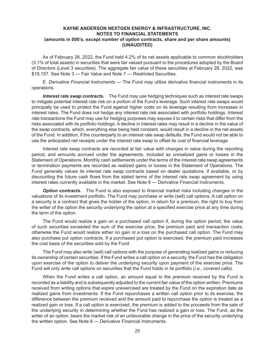As of February 28, 2022, the Fund held 4.2% of its net assets applicable to common stockholders (3.1% of total assets) in securities that were fair valued pursuant to the procedures adopted by the Board of Directors (Level 3 securities). The aggregate fair value of these securities at February 28, 2022, was \$19,157. See Note 3 — Fair Value and Note 7 — Restricted Securities.

E. *Derivative Financial Instruments* — The Fund may utilize derivative financial instruments in its operations.

*Interest rate swap contracts.* The Fund may use hedging techniques such as interest rate swaps to mitigate potential interest rate risk on a portion of the Fund's leverage. Such interest rate swaps would principally be used to protect the Fund against higher costs on its leverage resulting from increases in interest rates. The Fund does not hedge any interest rate risk associated with portfolio holdings. Interest rate transactions the Fund may use for hedging purposes may expose it to certain risks that differ from the risks associated with its portfolio holdings. A decline in interest rates may result in a decline in the value of the swap contracts, which, everything else being held constant, would result in a decline in the net assets of the Fund. In addition, if the counterparty to an interest rate swap defaults, the Fund would not be able to use the anticipated net receipts under the interest rate swap to offset its cost of financial leverage.

Interest rate swap contracts are recorded at fair value with changes in value during the reporting period, and amounts accrued under the agreements, included as unrealized gains or losses in the Statement of Operations. Monthly cash settlements under the terms of the interest rate swap agreements or termination payments are recorded as realized gains or losses in the Statement of Operations. The Fund generally values its interest rate swap contracts based on dealer quotations, if available, or by discounting the future cash flows from the stated terms of the interest rate swap agreement by using interest rates currently available in the market. See Note 8 — Derivative Financial Instruments.

**Option contracts.** The Fund is also exposed to financial market risks including changes in the valuations of its investment portfolio. The Fund may purchase or write (sell) call options. A call option on a security is a contract that gives the holder of the option, in return for a premium, the right to buy from the writer of the option the security underlying the option at a specified exercise price at any time during the term of the option.

The Fund would realize a gain on a purchased call option if, during the option period, the value of such securities exceeded the sum of the exercise price, the premium paid and transaction costs; otherwise the Fund would realize either no gain or a loss on the purchased call option. The Fund may also purchase put option contracts. If a purchased put option is exercised, the premium paid increases the cost basis of the securities sold by the Fund.

The Fund may also write (sell) call options with the purpose of generating realized gains or reducing its ownership of certain securities. If the Fund writes a call option on a security, the Fund has the obligation upon exercise of the option to deliver the underlying security upon payment of the exercise price. The Fund will only write call options on securities that the Fund holds in its portfolio (*i.e.*, covered calls).

When the Fund writes a call option, an amount equal to the premium received by the Fund is recorded as a liability and is subsequently adjusted to the current fair value of the option written. Premiums received from writing options that expire unexercised are treated by the Fund on the expiration date as realized gains from investments. If the Fund repurchases a written call option prior to its exercise, the difference between the premium received and the amount paid to repurchase the option is treated as a realized gain or loss. If a call option is exercised, the premium is added to the proceeds from the sale of the underlying security in determining whether the Fund has realized a gain or loss. The Fund, as the writer of an option, bears the market risk of an unfavorable change in the price of the security underlying the written option. See Note 8 — Derivative Financial Instruments.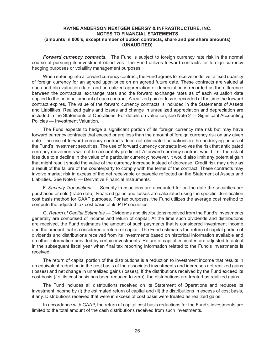**Forward currency contracts.** The Fund is subject to foreign currency rate risk in the normal course of pursuing its investment objectives. The Fund utilizes forward contracts for foreign currency hedging purposes or volatility management purposes.

When entering into a forward currency contract, the Fund agrees to receive or deliver a fixed quantity of foreign currency for an agreed upon price on an agreed future date. These contracts are valued at each portfolio valuation date, and unrealized appreciation or depreciation is recorded as the difference between the contractual exchange rates and the forward exchange rates as of each valuation date applied to the notional amount of each contract. A realized gain or loss is recorded at the time the forward contract expires. The value of the forward currency contracts is included in the Statements of Assets and Liabilities. Realized gains and losses and change in unrealized appreciation and depreciation are included in the Statements of Operations. For details on valuation, see Note 2 — Significant Accounting Policies — Investment Valuation.

The Fund expects to hedge a significant portion of its foreign currency rate risk but may have forward currency contracts that exceed or are less than the amount of foreign currency risk on any given date. The use of forward currency contracts does not eliminate fluctuations in the underlying prices of the Fund's investment securities. The use of forward currency contracts involves the risk that anticipated currency movements will not be accurately predicted. A forward currency contract would limit the risk of loss due to a decline in the value of a particular currency; however, it would also limit any potential gain that might result should the value of the currency increase instead of decrease. Credit risk may arise as a result of the failure of the counterparty to comply with the terms of the contract. These contracts may involve market risk in excess of the net receivable or payable reflected on the Statement of Assets and Liabilities. See Note 8 — Derivative Financial Instruments.

F. *Security Transactions* — Security transactions are accounted for on the date the securities are purchased or sold (trade date). Realized gains and losses are calculated using the specific identification cost basis method for GAAP purposes. For tax purposes, the Fund utilizes the average cost method to compute the adjusted tax cost basis of its PTP securities.

G. *Return of Capital Estimates —* Dividends and distributions received from the Fund's investments generally are comprised of income and return of capital. At the time such dividends and distributions are received, the Fund estimates the amount of such payments that is considered investment income and the amount that is considered a return of capital. The Fund estimates the return of capital portion of dividends and distributions received from its investments based on historical information available and on other information provided by certain investments. Return of capital estimates are adjusted to actual in the subsequent fiscal year when final tax reporting information related to the Fund's investments is received.

The return of capital portion of the distributions is a reduction to investment income that results in an equivalent reduction in the cost basis of the associated investments and increases net realized gains (losses) and net change in unrealized gains (losses). If the distributions received by the Fund exceed its cost basis (*i.e.* its cost basis has been reduced to zero), the distributions are treated as realized gains.

The Fund includes all distributions received on its Statement of Operations and reduces its investment income by (i) the estimated return of capital and (ii) the distributions in excess of cost basis, if any. Distributions received that were in excess of cost basis were treated as realized gains.

In accordance with GAAP, the return of capital cost basis reductions for the Fund's investments are limited to the total amount of the cash distributions received from such investments.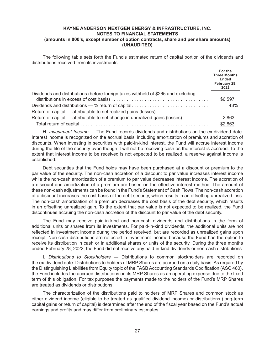The following table sets forth the Fund's estimated return of capital portion of the dividends and distributions received from its investments.

|                                                                                   | For the<br><b>Three Months</b><br><b>Ended</b><br>February 28,<br>2022 |
|-----------------------------------------------------------------------------------|------------------------------------------------------------------------|
| Dividends and distributions (before foreign taxes withheld of \$265 and excluding | \$6,597                                                                |
|                                                                                   |                                                                        |
| Dividends and distributions — % return of capital                                 | 43%                                                                    |
| Return of capital — attributable to net realized gains (losses)                   |                                                                        |
| Return of capital — attributable to net change in unrealized gains (losses)       | 2,863                                                                  |
|                                                                                   | \$2,863                                                                |

H. *Investment Income* — The Fund records dividends and distributions on the ex-dividend date. Interest income is recognized on the accrual basis, including amortization of premiums and accretion of discounts. When investing in securities with paid-in-kind interest, the Fund will accrue interest income during the life of the security even though it will not be receiving cash as the interest is accrued. To the extent that interest income to be received is not expected to be realized, a reserve against income is established.

Debt securities that the Fund holds may have been purchased at a discount or premium to the par value of the security. The non-cash accretion of a discount to par value increases interest income while the non-cash amortization of a premium to par value decreases interest income. The accretion of a discount and amortization of a premium are based on the effective interest method. The amount of these non-cash adjustments can be found in the Fund's Statement of Cash Flows. The non-cash accretion of a discount increases the cost basis of the debt security, which results in an offsetting unrealized loss. The non-cash amortization of a premium decreases the cost basis of the debt security, which results in an offsetting unrealized gain. To the extent that par value is not expected to be realized, the Fund discontinues accruing the non-cash accretion of the discount to par value of the debt security.

The Fund may receive paid-in-kind and non-cash dividends and distributions in the form of additional units or shares from its investments. For paid-in-kind dividends, the additional units are not reflected in investment income during the period received, but are recorded as unrealized gains upon receipt. Non-cash distributions are reflected in investment income because the Fund has the option to receive its distribution in cash or in additional shares or units of the security. During the three months ended February 28, 2022, the Fund did not receive any paid-in-kind dividends or non-cash distributions.

I. *Distributions to Stockholders*  — Distributions to common stockholders are recorded on the ex-dividend date. Distributions to holders of MRP Shares are accrued on a daily basis. As required by the Distinguishing Liabilities from Equity topic of the FASB Accounting Standards Codification (ASC 480), the Fund includes the accrued distributions on its MRP Shares as an operating expense due to the fixed term of this obligation. For tax purposes the payments made to the holders of the Fund's MRP Shares are treated as dividends or distributions.

The characterization of the distributions paid to holders of MRP Shares and common stock as either dividend income (eligible to be treated as qualified dividend income) or distributions (long-term capital gains or return of capital) is determined after the end of the fiscal year based on the Fund's actual earnings and profits and may differ from preliminary estimates.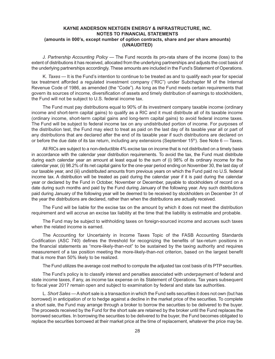J. *Partnership Accounting Policy* — The Fund records its pro-rata share of the income (loss) to the extent of distributions it has received, allocated from the underlying partnerships and adjusts the cost basis of the underlying partnerships accordingly. These amounts are included in the Fund's Statement of Operations.

K. *Taxes* — It is the Fund's intention to continue to be treated as and to qualify each year for special tax treatment afforded a regulated investment company ("RIC") under Subchapter M of the Internal Revenue Code of 1986, as amended (the "Code"). As long as the Fund meets certain requirements that govern its sources of income, diversification of assets and timely distribution of earnings to stockholders, the Fund will not be subject to U.S. federal income tax.

The Fund must pay distributions equal to 90% of its investment company taxable income (ordinary income and short-term capital gains) to qualify as a RIC and it must distribute all of its taxable income (ordinary income, short-term capital gains and long-term capital gains) to avoid federal income taxes. The Fund will be subject to federal income tax on any undistributed portion of income. For purposes of the distribution test, the Fund may elect to treat as paid on the last day of its taxable year all or part of any distributions that are declared after the end of its taxable year if such distributions are declared on or before the due date of its tax return, including any extensions (September 15<sup>th</sup>). See Note  $6 -$  Taxes.

All RICs are subject to a non-deductible 4% excise tax on income that is not distributed on a timely basis in accordance with the calendar year distribution requirements. To avoid the tax, the Fund must distribute during each calendar year an amount at least equal to the sum of (i) 98% of its ordinary income for the calendar year, (ii) 98.2% of its net capital gains for the one-year period ending on November 30, the last day of our taxable year, and (iii) undistributed amounts from previous years on which the Fund paid no U.S. federal income tax. A distribution will be treated as paid during the calendar year if it is paid during the calendar year or declared by the Fund in October, November or December, payable to stockholders of record on a date during such months and paid by the Fund during January of the following year. Any such distributions paid during January of the following year will be deemed to be received by stockholders on December 31 of the year the distributions are declared, rather than when the distributions are actually received.

The Fund will be liable for the excise tax on the amount by which it does not meet the distribution requirement and will accrue an excise tax liability at the time that the liability is estimable and probable.

The Fund may be subject to withholding taxes on foreign-sourced income and accrues such taxes when the related income is earned.

The Accounting for Uncertainty in Income Taxes Topic of the FASB Accounting Standards Codification (ASC 740) defines the threshold for recognizing the benefits of tax-return positions in the financial statements as "more-likely-than-not" to be sustained by the taxing authority and requires measurement of a tax position meeting the more-likely-than-not criterion, based on the largest benefit that is more than 50% likely to be realized.

The Fund utilizes the average cost method to compute the adjusted tax cost basis of its PTP securities.

The Fund's policy is to classify interest and penalties associated with underpayment of federal and state income taxes, if any, as income tax expense on its Statement of Operations. Tax years subsequent to fiscal year 2017 remain open and subject to examination by federal and state tax authorities.

L. *Short Sales* — A short sale is a transaction in which the Fund sells securities it does not own (but has borrowed) in anticipation of or to hedge against a decline in the market price of the securities. To complete a short sale, the Fund may arrange through a broker to borrow the securities to be delivered to the buyer. The proceeds received by the Fund for the short sale are retained by the broker until the Fund replaces the borrowed securities. In borrowing the securities to be delivered to the buyer, the Fund becomes obligated to replace the securities borrowed at their market price at the time of replacement, whatever the price may be.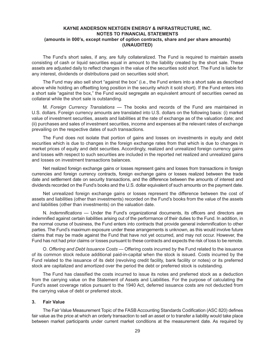The Fund's short sales, if any, are fully collateralized. The Fund is required to maintain assets consisting of cash or liquid securities equal in amount to the liability created by the short sale. These assets are adjusted daily to reflect changes in the value of the securities sold short. The Fund is liable for any interest, dividends or distributions paid on securities sold short.

The Fund may also sell short "against the box" (i.e., the Fund enters into a short sale as described above while holding an offsetting long position in the security which it sold short). If the Fund enters into a short sale "against the box," the Fund would segregate an equivalent amount of securities owned as collateral while the short sale is outstanding.

M. *Foreign Currency Translations*  — The books and records of the Fund are maintained in U.S. dollars. Foreign currency amounts are translated into U.S. dollars on the following basis: (i) market value of investment securities, assets and liabilities at the rate of exchange as of the valuation date; and (ii) purchases and sales of investment securities, income and expenses at the relevant rates of exchange prevailing on the respective dates of such transactions.

The Fund does not isolate that portion of gains and losses on investments in equity and debt securities which is due to changes in the foreign exchange rates from that which is due to changes in market prices of equity and debt securities. Accordingly, realized and unrealized foreign currency gains and losses with respect to such securities are included in the reported net realized and unrealized gains and losses on investment transactions balances.

Net realized foreign exchange gains or losses represent gains and losses from transactions in foreign currencies and foreign currency contracts, foreign exchange gains or losses realized between the trade date and settlement date on security transactions, and the difference between the amounts of interest and dividends recorded on the Fund's books and the U.S. dollar equivalent of such amounts on the payment date.

Net unrealized foreign exchange gains or losses represent the difference between the cost of assets and liabilities (other than investments) recorded on the Fund's books from the value of the assets and liabilities (other than investments) on the valuation date.

N. *Indemnifications*  — Under the Fund's organizational documents, its officers and directors are indemnified against certain liabilities arising out of the performance of their duties to the Fund. In addition, in the normal course of business, the Fund enters into contracts that provide general indemnification to other parties. The Fund's maximum exposure under these arrangements is unknown, as this would involve future claims that may be made against the Fund that have not yet occurred, and may not occur. However, the Fund has not had prior claims or losses pursuant to these contracts and expects the risk of loss to be remote.

O. *Offering and Debt Issuance Costs* — Offering costs incurred by the Fund related to the issuance of its common stock reduce additional paid-in-capital when the stock is issued. Costs incurred by the Fund related to the issuance of its debt (revolving credit facility, bank facility or notes) or its preferred stock are capitalized and amortized over the period the debt or preferred stock is outstanding.

The Fund has classified the costs incurred to issue its notes and preferred stock as a deduction from the carrying value on the Statement of Assets and Liabilities. For the purpose of calculating the Fund's asset coverage ratios pursuant to the 1940 Act, deferred issuance costs are not deducted from the carrying value of debt or preferred stock.

#### **3. Fair Value**

The Fair Value Measurement Topic of the FASB Accounting Standards Codification (ASC 820) defines fair value as the price at which an orderly transaction to sell an asset or to transfer a liability would take place between market participants under current market conditions at the measurement date. As required by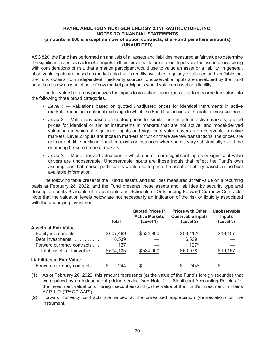ASC 820, the Fund has performed an analysis of all assets and liabilities measured at fair value to determine the significance and character of all inputs to their fair value determination. Inputs are the assumptions, along with considerations of risk, that a market participant would use to value an asset or a liability. In general, observable inputs are based on market data that is readily available, regularly distributed and verifiable that the Fund obtains from independent, third-party sources. Unobservable inputs are developed by the Fund based on its own assumptions of how market participants would value an asset or a liability.

The fair value hierarchy prioritizes the inputs to valuation techniques used to measure fair value into the following three broad categories.

- Level 1 Valuations based on quoted unadjusted prices for identical instruments in active markets traded on a national exchange to which the Fund has access at the date of measurement.
- Level 2 Valuations based on quoted prices for similar instruments in active markets; quoted prices for identical or similar instruments in markets that are not active; and model-derived valuations in which all significant inputs and significant value drivers are observable in active markets. Level 2 inputs are those in markets for which there are few transactions, the prices are not current, little public information exists or instances where prices vary substantially over time or among brokered market makers.
- Level 3 Model derived valuations in which one or more significant inputs or significant value drivers are unobservable. Unobservable inputs are those inputs that reflect the Fund's own assumptions that market participants would use to price the asset or liability based on the best available information.

The following table presents the Fund's assets and liabilities measured at fair value on a recurring basis at February 28, 2022, and the Fund presents these assets and liabilities by security type and description on its Schedule of Investments and Schedule of Outstanding Forward Currency Contracts. Note that the valuation levels below are not necessarily an indication of the risk or liquidity associated with the underlying investment.

|                                  |           | <b>Quoted Prices in</b><br><b>Active Markets</b> | <b>Prices with Other</b><br><b>Observable Inputs</b> | Unobservable<br><b>Inputs</b> |
|----------------------------------|-----------|--------------------------------------------------|------------------------------------------------------|-------------------------------|
|                                  | Total     | (Level 1)                                        | (Level 2)                                            | (Level 3)                     |
| <b>Assets at Fair Value</b>      |           |                                                  |                                                      |                               |
| Equity investments.              | \$607,469 | \$534,900                                        | $$53,412^{(1)}$                                      | \$19,157                      |
| Debt investments                 | 6,539     |                                                  | 6,539                                                |                               |
| Forward currency contracts       | 127       |                                                  | $127^{(2)}$                                          |                               |
| Total assets at fair value       | \$614,135 | \$534,900                                        | \$60,078                                             | \$19,157                      |
| <b>Liabilities at Fair Value</b> |           |                                                  |                                                      |                               |
| Forward currency contracts       | 244       | \$                                               | $244^{(2)}$                                          |                               |

(1) As of February 28, 2022, this amount represents (a) the value of the Fund's foreign securities that were priced by an independent pricing service (see Note 2 — Significant Accounting Policies for the investment valuation of foreign securities) and (b) the value of the Fund's investment in Plains AAP, L.P. ("PAGP-AAP").

(2) Forward currency contracts are valued at the unrealized appreciation (depreciation) on the instrument.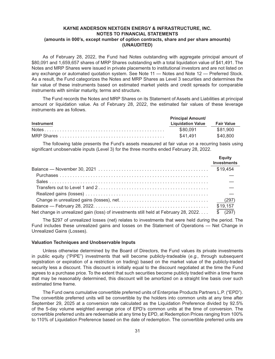As of February 28, 2022, the Fund had Notes outstanding with aggregate principal amount of \$80,091 and 1,659,657 shares of MRP Shares outstanding with a total liquidation value of \$41,491. The Notes and MRP Shares were issued in private placements to institutional investors and are not listed on any exchange or automated quotation system. See Note 11 — Notes and Note 12 — Preferred Stock. As a result, the Fund categorizes the Notes and MRP Shares as Level 3 securities and determines the fair value of these instruments based on estimated market yields and credit spreads for comparable instruments with similar maturity, terms and structure.

The Fund records the Notes and MRP Shares on its Statement of Assets and Liabilities at principal amount or liquidation value. As of February 28, 2022, the estimated fair values of these leverage instruments are as follows.

|                   | <b>Principal Amount/</b>     |          |
|-------------------|------------------------------|----------|
| <b>Instrument</b> | Liquidation Value Fair Value |          |
|                   | \$80.091                     | \$81.900 |
|                   | \$41.491                     | \$40.800 |

The following table presents the Fund's assets measured at fair value on a recurring basis using significant unobservable inputs (Level 3) for the three months ended February 28, 2022.

|                                                                                               | Equity<br><b>Investments</b> |
|-----------------------------------------------------------------------------------------------|------------------------------|
|                                                                                               | \$19,454                     |
|                                                                                               |                              |
|                                                                                               |                              |
|                                                                                               |                              |
|                                                                                               |                              |
|                                                                                               |                              |
|                                                                                               | \$19,157                     |
| Net change in unrealized gain (loss) of investments still held at February 28, 2022. \$ (297) |                              |

The \$297 of unrealized losses (net) relates to investments that were held during the period. The Fund includes these unrealized gains and losses on the Statement of Operations — Net Change in Unrealized Gains (Losses).

#### **Valuation Techniques and Unobservable Inputs**

Unless otherwise determined by the Board of Directors, the Fund values its private investments in public equity ("PIPE") investments that will become publicly-tradeable (*e.g.,*  through subsequent registration or expiration of a restriction on trading) based on the market value of the publicly-traded security less a discount. This discount is initially equal to the discount negotiated at the time the Fund agrees to a purchase price. To the extent that such securities become publicly traded within a time frame that may be reasonably determined, this discount will be amortized on a straight line basis over such estimated time frame.

The Fund owns cumulative convertible preferred units of Enterprise Products Partners L.P. ("EPD"). The convertible preferred units will be convertible by the holders into common units at any time after September 29, 2025 at a conversion rate calculated as the Liquidation Preference divided by 92.5% of the 5-day volume weighted average price of EPD's common units at the time of conversion. The convertible preferred units are redeemable at any time by EPD, at Redemption Prices ranging from 100% to 110% of Liquidation Preference based on the date of redemption. The convertible preferred units are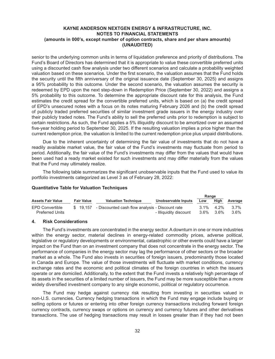senior to the underlying common units in terms of liquidation preference and priority of distributions. The Fund's Board of Directors has determined that it is appropriate to value these convertible preferred units using a discounted cash flow analysis under two different scenarios and calculate a probability weighted valuation based on these scenarios. Under the first scenario, the valuation assumes that the Fund holds the security until the fifth anniversary of the original issuance date (September 30, 2025) and assigns a 95% probability to this outcome. Under the second scenario, the valuation assumes the security is redeemed by EPD upon the next step-down in Redemption Price (September 30, 2022) and assigns a 5% probability to this outcome. To determine the appropriate discount rate for this analysis, the Fund estimates the credit spread for the convertible preferred units, which is based on (a) the credit spread of EPD's unsecured notes with a focus on its notes maturing February 2026 and (b) the credit spread of publicly traded preferred securities of similar investment grade issuers in the energy industry over their publicly traded notes. The Fund's ability to sell the preferred units prior to redemption is subject to certain restrictions. As such, the Fund applies a 5% illiquidity discount to be amortized over an assumed five-year holding period to September 30, 2025. If the resulting valuation implies a price higher than the current redemption price, the valuation is limited to the current redemption price plus unpaid distributions.

Due to the inherent uncertainty of determining the fair value of investments that do not have a readily available market value, the fair value of the Fund's investments may fluctuate from period to period. Additionally, the fair value of the Fund's investments may differ from the values that would have been used had a ready market existed for such investments and may differ materially from the values that the Fund may ultimately realize.

The following table summarizes the significant unobservable inputs that the Fund used to value its portfolio investments categorized as Level 3 as of February 28, 2022:

#### **Quantitative Table for Valuation Techniques**

|                          |                   |                                                           |                        | Range |              |         |
|--------------------------|-------------------|-----------------------------------------------------------|------------------------|-------|--------------|---------|
| <b>Assets Fair Value</b> | <b>Fair Value</b> | <b>Valuation Technique</b>                                | Unobservable Inputs    | Low   | High         | Average |
| <b>EPD Convertible</b>   |                   | \$ 19,157 - Discounted cash flow analysis - Discount rate |                        |       | $3.1\%$ 4.2% | $3.7\%$ |
| <b>Preferred Units</b>   |                   |                                                           | - Illiquidity discount | 3.6%  | $3.6\%$      | $3.6\%$ |

#### **4. Risk Considerations**

The Fund's investments are concentrated in the energy sector. A downturn in one or more industries within the energy sector, material declines in energy-related commodity prices, adverse political, legislative or regulatory developments or environmental, catastrophic or other events could have a larger impact on the Fund than on an investment company that does not concentrate in the energy sector. The performance of companies in the energy sector may lag the performance of other sectors or the broader market as a whole. The Fund also invests in securities of foreign issuers, predominantly those located in Canada and Europe. The value of those investments will fluctuate with market conditions, currency exchange rates and the economic and political climates of the foreign countries in which the issuers operate or are domiciled. Additionally, to the extent that the Fund invests a relatively high percentage of its assets in the securities of a limited number of issuers, the Fund may be more susceptible than a more widely diversified investment company to any single economic, political or regulatory occurrence.

The Fund may hedge against currency risk resulting from investing in securities valued in non-U.S. currencies. Currency hedging transactions in which the Fund may engage include buying or selling options or futures or entering into other foreign currency transactions including forward foreign currency contracts, currency swaps or options on currency and currency futures and other derivatives transactions. The use of hedging transactions may result in losses greater than if they had not been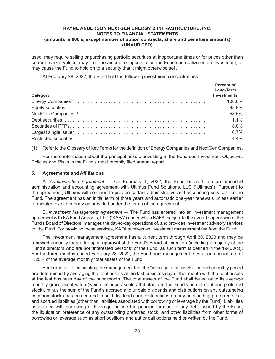used, may require selling or purchasing portfolio securities at inopportune times or for prices other than current market values, may limit the amount of appreciation the Fund can realize on an investment, or may cause the Fund to hold on to a security that it might otherwise sell.

At February 28, 2022, the Fund had the following investment concentrations:

| Category | <b>Percent of</b><br>Long-Term<br><b>Investments</b> |
|----------|------------------------------------------------------|
|          | 100.0%                                               |
|          | 98.9%                                                |
|          | 58.5%                                                |
|          | $1.1\%$                                              |
|          | 18.0%                                                |
|          | 6.7%                                                 |
|          | 4.4%                                                 |

(1) Refer to the Glossary of Key Terms for the definition of Energy Companies and NextGen Companies.

For more information about the principal risks of investing in the Fund see Investment Objective, Policies and Risks in the Fund's most recently filed annual report.

#### **5. Agreements and Affiliations**

A. *Administration Agreement —*  On February 1, 2022, the Fund entered into an amended administration and accounting agreement with Ultimus Fund Solutions, LLC ("Ultimus"). Pursuant to the agreement, Ultimus will continue to provide certain administrative and accounting services for the Fund. The agreement has an initial term of three years and automatic one-year renewals unless earlier terminated by either party as provided under the terms of the agreement.

B. *Investment Management Agreement —* The Fund has entered into an investment management agreement with KA Fund Advisors, LLC ("KAFA") under which KAFA, subject to the overall supervision of the Fund's Board of Directors, manages the day-to-day operations of, and provides investment advisory services to, the Fund. For providing these services, KAFA receives an investment management fee from the Fund.

The investment management agreement has a current term through April 30, 2023 and may be renewed annually thereafter upon approval of the Fund's Board of Directors (including a majority of the Fund's directors who are not "interested persons" of the Fund, as such term is defined in the 1940 Act). For the three months ended February 28, 2022, the Fund paid management fees at an annual rate of 1.25% of the average monthly total assets of the Fund.

For purposes of calculating the management fee, the "average total assets" for each monthly period are determined by averaging the total assets at the last business day of that month with the total assets at the last business day of the prior month. The total assets of the Fund shall be equal to its average monthly gross asset value (which includes assets attributable to the Fund's use of debt and preferred stock), minus the sum of the Fund's accrued and unpaid dividends and distributions on any outstanding common stock and accrued and unpaid dividends and distributions on any outstanding preferred stock and accrued liabilities (other than liabilities associated with borrowing or leverage by the Fund). Liabilities associated with borrowing or leverage include the principal amount of any debt issued by the Fund, the liquidation preference of any outstanding preferred stock, and other liabilities from other forms of borrowing or leverage such as short positions and put or call options held or written by the Fund.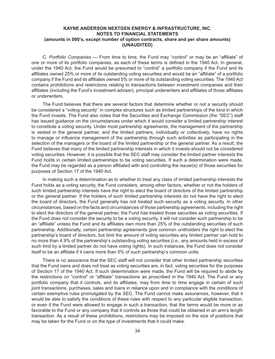C. *Portfolio Companies* — From time to time, the Fund may "control" or may be an "affiliate" of one or more of its portfolio companies, as each of these terms is defined in the 1940 Act. In general, under the 1940 Act, the Fund would be presumed to "control" a portfolio company if the Fund and its affiliates owned 25% or more of its outstanding voting securities and would be an "affiliate" of a portfolio company if the Fund and its affiliates owned 5% or more of its outstanding voting securities. The 1940 Act contains prohibitions and restrictions relating to transactions between investment companies and their affiliates (including the Fund's investment adviser), principal underwriters and affiliates of those affiliates or underwriters.

The Fund believes that there are several factors that determine whether or not a security should be considered a "voting security" in complex structures such as limited partnerships of the kind in which the Fund invests. The Fund also notes that the Securities and Exchange Commission (the "SEC") staff has issued guidance on the circumstances under which it would consider a limited partnership interest to constitute a voting security. Under most partnership agreements, the management of the partnership is vested in the general partner, and the limited partners, individually or collectively, have no rights to manage or influence management of the partnership through such activities as participating in the selection of the managers or the board of the limited partnership or the general partner. As a result, the Fund believes that many of the limited partnership interests in which it invests should not be considered voting securities. However, it is possible that the SEC staff may consider the limited partner interests the Fund holds in certain limited partnerships to be voting securities. If such a determination were made, the Fund may be regarded as a person affiliated with and controlling the issuer(s) of those securities for purposes of Section 17 of the 1940 Act.

In making such a determination as to whether to treat any class of limited partnership interests the Fund holds as a voting security, the Fund considers, among other factors, whether or not the holders of such limited partnership interests have the right to elect the board of directors of the limited partnership or the general partner. If the holders of such limited partnership interests do not have the right to elect the board of directors, the Fund generally has not treated such security as a voting security. In other circumstances, based on the facts and circumstances of those partnership agreements, including the right to elect the directors of the general partner, the Fund has treated those securities as voting securities. If the Fund does not consider the security to be a voting security, it will not consider such partnership to be an "affiliate" unless the Fund and its affiliates own more than 25% of the outstanding securities of such partnership. Additionally, certain partnership agreements give common unitholders the right to elect the partnership's board of directors, but limit the amount of voting securities any limited partner can hold to no more than 4.9% of the partnership's outstanding voting securities (*i.e.*, any amounts held in excess of such limit by a limited partner do not have voting rights). In such instances, the Fund does not consider itself to be an affiliate if it owns more than 5% of such partnership's common units.

There is no assurance that the SEC staff will not consider that other limited partnership securities that the Fund owns and does not treat as voting securities are, in fact, voting securities for the purposes of Section 17 of the 1940 Act. If such determination were made, the Fund will be required to abide by the restrictions on "control" or "affiliate" transactions as proscribed in the 1940 Act. The Fund or any portfolio company that it controls, and its affiliates, may from time to time engage in certain of such joint transactions, purchases, sales and loans in reliance upon and in compliance with the conditions of certain exemptive rules promulgated by the SEC. The Fund cannot make assurances, however, that it would be able to satisfy the conditions of these rules with respect to any particular eligible transaction, or even if the Fund were allowed to engage in such a transaction, that the terms would be more or as favorable to the Fund or any company that it controls as those that could be obtained in an arm's length transaction. As a result of these prohibitions, restrictions may be imposed on the size of positions that may be taken for the Fund or on the type of investments that it could make.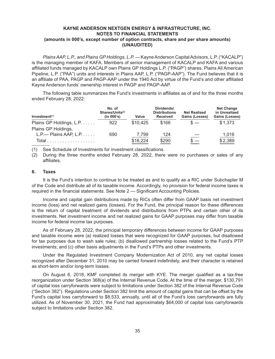*Plains AAP, L.P., and Plains GP Holdings, L.P. —* Kayne Anderson Capital Advisors, L.P. ("KACALP") is the managing member of KAFA. Members of senior management of KACALP and KAFA and various affiliated funds managed by KACALP own Plains GP Holdings L.P. ("PAGP") shares, Plains All American Pipeline, L.P. ("PAA") units and interests in Plains AAP, L.P. ("PAGP-AAP"). The Fund believes that it is an affiliate of PAA, PAGP and PAGP-AAP under the 1940 Act by virtue of the Fund's and other affiliated Kayne Anderson funds' ownership interest in PAGP and PAGP-AAP.

The following table summarizes the Fund's investments in affiliates as of and for the three months ended February 28, 2022:

| Investment <sup>(1)</sup>          | No. of<br>Shares/Units <sup>(2)</sup><br>(in 000's) | Value    | Dividends/<br><b>Distributions</b><br><b>Received</b> | <b>Net Realized</b><br>Gains (Losses) | <b>Net Change</b><br>in Unrealized<br>Gains (Losses) |
|------------------------------------|-----------------------------------------------------|----------|-------------------------------------------------------|---------------------------------------|------------------------------------------------------|
| Plains GP Holdings, L.P.           | 922                                                 | \$10,425 | \$166                                                 | $s =$                                 | \$1,373                                              |
| Plains GP Holdings,                |                                                     |          |                                                       |                                       |                                                      |
| $L.P.$ Plains AAP, $L.P. \ldots$ . | 690                                                 | 7.799    | 124                                                   |                                       | 1,016                                                |
|                                    |                                                     | \$18,224 | \$290                                                 |                                       | \$2,389                                              |

(1) See Schedule of Investments for investment classifications.

(2) During the three months ended February 28, 2022, there were no purchases or sales of any affiliates.

#### **6. Taxes**

It is the Fund's intention to continue to be treated as and to qualify as a RIC under Subchapter M of the Code and distribute all of its taxable income. Accordingly, no provision for federal income taxes is required in the financial statements. See Note 2 — Significant Accounting Policies.

Income and capital gain distributions made by RICs often differ from GAAP basis net investment income (loss) and net realized gains (losses). For the Fund, the principal reason for these differences is the return of capital treatment of dividends and distributions from PTPs and certain other of its investments. Net investment income and net realized gains for GAAP purposes may differ from taxable income for federal income tax purposes.

As of February 28, 2022, the principal temporary differences between income for GAAP purposes and taxable income were (a) realized losses that were recognized for GAAP purposes, but disallowed for tax purposes due to wash sale rules; (b) disallowed partnership losses related to the Fund's PTP investments; and (c) other basis adjustments in the Fund's PTPs and other investments.

Under the Regulated Investment Company Modernization Act of 2010, any net capital losses recognized after December 31, 2010 may be carried forward indefinitely, and their character is retained as short-term and/or long-term losses.

On August 6, 2018, KMF completed its merger with KYE. The merger qualified as a tax-free reorganization under Section 368(a) of the Internal Revenue Code. At the time of the merger, \$130,791 of capital loss carryforwards were subject to limitations under Section 382 of the Internal Revenue Code ("Section 382"). Regulations under Section 382 limit the amount of capital gains that can be offset by the Fund's capital loss carryforward to \$8,533, annually, until all of the Fund's loss carryforwards are fully utilized. As of November 30, 2021, the Fund had approximately \$64,000 of capital loss carryforwards subject to limitations under Section 382.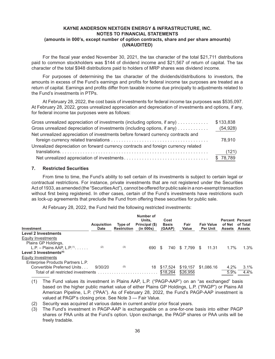For the fiscal year ended November 30, 2021, the tax character of the total \$21,711 distributions paid to common stockholders was \$144 of dividend income and \$21,567 of return of capital. The tax character of the total \$948 distributions paid to holders of MRP shares was dividend income.

For purposes of determining the tax character of the dividends/distributions to investors, the amounts in excess of the Fund's earnings and profits for federal income tax purposes are treated as a return of capital. Earnings and profits differ from taxable income due principally to adjustments related to the Fund's investments in PTPs.

At February 28, 2022, the cost basis of investments for federal income tax purposes was \$535,097. At February 28, 2022, gross unrealized appreciation and depreciation of investments and options, if any, for federal income tax purposes were as follows:

| Gross unrealized appreciation of investments (including options, if any)           | \$133,838 |
|------------------------------------------------------------------------------------|-----------|
| Gross unrealized depreciation of investments (including options, if any)           | (54, 928) |
| Net unrealized appreciation of investments before forward currency contracts and   |           |
|                                                                                    | 78,910    |
| Unrealized depreciation on forward currency contracts and foreign currency related |           |
|                                                                                    | (121)     |
|                                                                                    | \$78,789  |

#### **7. Restricted Securities**

From time to time, the Fund's ability to sell certain of its investments is subject to certain legal or contractual restrictions. For instance, private investments that are not registered under the Securities Act of 1933, as amended (the "Securities Act"), cannot be offered for public sale in a non-exempt transaction without first being registered. In other cases, certain of the Fund's investments have restrictions such as lock-up agreements that preclude the Fund from offering these securities for public sale.

At February 28, 2022, the Fund held the following restricted investments:

| Investment                             | Acquisition<br><b>Date</b> | Type of<br><b>Restriction</b> | Number of<br>Units.<br>Principal (\$)<br>(in 000s) | Cost<br><b>Basis</b><br>(GAAP) | Fair<br>Value | <b>Fair Value</b><br><b>Per Unit</b> | <b>Percent Percent</b><br>of Net<br><b>Assets</b> | of Total<br>Assets |
|----------------------------------------|----------------------------|-------------------------------|----------------------------------------------------|--------------------------------|---------------|--------------------------------------|---------------------------------------------------|--------------------|
| <b>Level 2 Investments</b>             |                            |                               |                                                    |                                |               |                                      |                                                   |                    |
| Equity Investments                     |                            |                               |                                                    |                                |               |                                      |                                                   |                    |
| Plains GP Holdings,                    |                            |                               |                                                    |                                |               |                                      |                                                   |                    |
| L.P. – Plains AAP. L.P. <sup>(1)</sup> | (2)                        | (3)                           | 690                                                | 740                            | \$7.799       | 11.31<br>- \$                        | $1.7\%$                                           | 1.3%               |
| Level 3 Investments $(4)$              |                            |                               |                                                    |                                |               |                                      |                                                   |                    |
| Equity Investments                     |                            |                               |                                                    |                                |               |                                      |                                                   |                    |
| Enterprise Products Partners L.P.      |                            |                               |                                                    |                                |               |                                      |                                                   |                    |
| Convertible Preferred Units            | 9/30/20                    | (5)                           | 18                                                 | \$17.524                       | \$19,157      | \$1,086.16                           | $4.2\%$                                           | 3.1%               |
| Total of all restricted investments    |                            |                               |                                                    | \$18,264                       | \$26,956      |                                      | 5.9%                                              | 4.4%               |

(1) The Fund values its investment in Plains AAP, L.P. ("PAGP-AAP") on an "as exchanged" basis based on the higher public market value of either Plains GP Holdings, L.P. ("PAGP") or Plains All American Pipeline, L.P. ("PAA"). As of February 28, 2022, the Fund's PAGP-AAP investment is valued at PAGP's closing price. See Note 3 — Fair Value.

- (2) Security was acquired at various dates in current and/or prior fiscal years.
- (3) The Fund's investment in PAGP-AAP is exchangeable on a one-for-one basis into either PAGP shares or PAA units at the Fund's option. Upon exchange, the PAGP shares or PAA units will be freely tradable.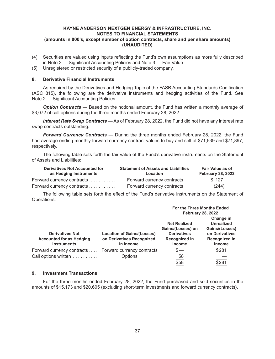- (4) Securities are valued using inputs reflecting the Fund's own assumptions as more fully described in Note 2 — Significant Accounting Policies and Note 3 — Fair Value.
- (5) Unregistered or restricted security of a publicly-traded company.

#### **8. Derivative Financial Instruments**

As required by the Derivatives and Hedging Topic of the FASB Accounting Standards Codification (ASC 815), the following are the derivative instruments and hedging activities of the Fund. See Note 2 — Significant Accounting Policies.

*Option Contracts* — Based on the notional amount, the Fund has written a monthly average of \$3,072 of call options during the three months ended February 28, 2022.

*Interest Rate Swap Contracts* — As of February 28, 2022, the Fund did not have any interest rate swap contracts outstanding.

*Forward Currency Contracts* — During the three months ended February 28, 2022, the Fund had average ending monthly forward currency contract values to buy and sell of \$71,539 and \$71,897, respectively.

The following table sets forth the fair value of the Fund's derivative instruments on the Statement of Assets and Liabilities:

| Derivatives Not Accounted for<br>as Hedging Instruments | <b>Statement of Assets and Liabilities</b><br>Location | <b>Fair Value as of</b><br><b>February 28, 2022</b> |  |
|---------------------------------------------------------|--------------------------------------------------------|-----------------------------------------------------|--|
| Forward currency contracts                              | Forward currency contracts                             | \$127                                               |  |
| Forward currency contracts                              | Forward currency contracts                             | (244)                                               |  |

The following table sets forth the effect of the Fund's derivative instruments on the Statement of Operations:

|                                                                             | <b>For the Three Months Ended</b><br><b>February 28, 2022</b>                                    |                                                                                                      |  |
|-----------------------------------------------------------------------------|--------------------------------------------------------------------------------------------------|------------------------------------------------------------------------------------------------------|--|
| <b>Location of Gains/(Losses)</b><br>on Derivatives Recognized<br>in Income | <b>Net Realized</b><br>Gains/(Losses) on<br><b>Derivatives</b><br>Recognized in<br><b>Income</b> | Change in<br><b>Unrealized</b><br>Gains/(Losses)<br>on Derivatives<br>Recognized in<br><b>Income</b> |  |
| Forward currency contracts<br>Options                                       | $s-$<br>58                                                                                       | \$281<br>\$281                                                                                       |  |
|                                                                             | Forward currency contracts<br>Call options written                                               | \$58                                                                                                 |  |

#### **9. Investment Transactions**

For the three months ended February 28, 2022, the Fund purchased and sold securities in the amounts of \$15,173 and \$20,605 (excluding short-term investments and forward currency contracts).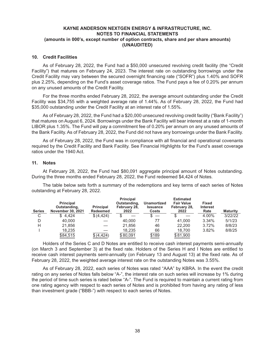#### **10. Credit Facilities**

As of February 28, 2022, the Fund had a \$50,000 unsecured revolving credit facility (the "Credit Facility") that matures on February 24, 2023. The interest rate on outstanding borrowings under the Credit Facility may vary between the secured overnight financing rate ("SOFR") plus 1.40% and SOFR plus 2.25%, depending on the Fund's asset coverage ratios. The Fund pays a fee of 0.20% per annum on any unused amounts of the Credit Facility.

For the three months ended February 28, 2022, the average amount outstanding under the Credit Facility was \$34,755 with a weighted average rate of 1.44%. As of February 28, 2022, the Fund had \$35,000 outstanding under the Credit Facility at an interest rate of 1.55%.

As of February 28, 2022, the Fund had a \$20,000 unsecured revolving credit facility ("Bank Facility") that matures on August 6, 2024. Borrowings under the Bank Facility will bear interest at a rate of 1-month LIBOR plus 1.35%. The Fund will pay a commitment fee of 0.20% per annum on any unused amounts of the Bank Facility. As of February 28, 2022, the Fund did not have any borrowings under the Bank Facility.

As of February 28, 2022, the Fund was in compliance with all financial and operational covenants required by the Credit Facility and Bank Facility. See Financial Highlights for the Fund's asset coverage ratios under the 1940 Act.

#### **11. Notes**

At February 28, 2022, the Fund had \$80,091 aggregate principal amount of Notes outstanding. During the three months ended February 28, 2022, the Fund redeemed \$4,424 of Notes.

The table below sets forth a summary of the redemptions and key terms of each series of Notes outstanding at February 28, 2022.

| <b>Series</b> | Principal<br>Outstanding,<br><b>November 30, 2021</b> | <b>Principal</b><br><b>Redeemed</b> | Principal<br>Outstanding,<br>February 28,<br>2022 | <b>Unamortized</b><br><b>Issuance</b><br>Costs | <b>Estimated</b><br><b>Fair Value</b><br>February 28,<br>2022 | <b>Fixed</b><br><b>Interest</b><br>Rate | <b>Maturity</b> |
|---------------|-------------------------------------------------------|-------------------------------------|---------------------------------------------------|------------------------------------------------|---------------------------------------------------------------|-----------------------------------------|-----------------|
| С             | \$4.424                                               | \$(4,424)                           |                                                   |                                                |                                                               | 4.00%                                   | 3/22/22         |
| D             | 40.000                                                |                                     | 40,000                                            | 77                                             | 41.000                                                        | 3.34%                                   | 5/1/23          |
| н             | 21.856                                                |                                     | 21.856                                            | 46                                             | 22,200                                                        | 3.72%                                   | 8/8/23          |
|               | 18.235                                                |                                     | 18,235                                            | 66                                             | 18.700                                                        | 3.82%                                   | 8/8/25          |
|               | \$84,515                                              | \$(4, 424)                          | \$80,091                                          | \$189                                          | \$81,900                                                      |                                         |                 |

Holders of the Series C and D Notes are entitled to receive cash interest payments semi-annually (on March 3 and September 3) at the fixed rate. Holders of the Series H and I Notes are entitled to receive cash interest payments semi-annually (on February 13 and August 13) at the fixed rate. As of February 28, 2022, the weighted average interest rate on the outstanding Notes was 3.55%.

As of February 28, 2022, each series of Notes was rated "AAA" by KBRA. In the event the credit rating on any series of Notes falls below "A-", the interest rate on such series will increase by 1% during the period of time such series is rated below "A-". The Fund is required to maintain a current rating from one rating agency with respect to each series of Notes and is prohibited from having any rating of less than investment grade ("BBB-") with respect to each series of Notes.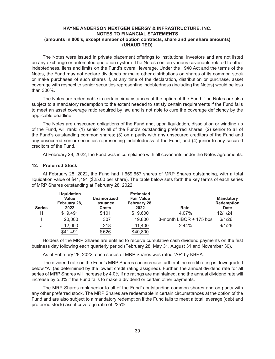The Notes were issued in private placement offerings to institutional investors and are not listed on any exchange or automated quotation system. The Notes contain various covenants related to other indebtedness, liens and limits on the Fund's overall leverage. Under the 1940 Act and the terms of the Notes, the Fund may not declare dividends or make other distributions on shares of its common stock or make purchases of such shares if, at any time of the declaration, distribution or purchase, asset coverage with respect to senior securities representing indebtedness (including the Notes) would be less than 300%.

The Notes are redeemable in certain circumstances at the option of the Fund. The Notes are also subject to a mandatory redemption to the extent needed to satisfy certain requirements if the Fund fails to meet an asset coverage ratio required by law and is not able to cure the coverage deficiency by the applicable deadline.

The Notes are unsecured obligations of the Fund and, upon liquidation, dissolution or winding up of the Fund, will rank: (1) senior to all of the Fund's outstanding preferred shares; (2) senior to all of the Fund's outstanding common shares; (3) on a parity with any unsecured creditors of the Fund and any unsecured senior securities representing indebtedness of the Fund; and (4) junior to any secured creditors of the Fund.

At February 28, 2022, the Fund was in compliance with all covenants under the Notes agreements.

#### **12. Preferred Stock**

At February 28, 2022, the Fund had 1,659,657 shares of MRP Shares outstanding, with a total liquidation value of \$41,491 (\$25.00 per share). The table below sets forth the key terms of each series of MRP Shares outstanding at February 28, 2022.

| <b>Series</b> | Liquidation<br>Value<br>February 28,<br>2022 | <b>Unamortized</b><br><b>Issuance</b><br><b>Costs</b> | <b>Estimated</b><br><b>Fair Value</b><br>February 28,<br>2022 | Rate                    | <b>Mandatory</b><br><b>Redemption</b><br><b>Date</b> |
|---------------|----------------------------------------------|-------------------------------------------------------|---------------------------------------------------------------|-------------------------|------------------------------------------------------|
| Н             | \$9,491                                      | \$101                                                 | \$9,600                                                       | 4.07%                   | 12/1/24                                              |
|               | 20,000                                       | 307                                                   | 19,800                                                        | 3-month LIBOR + 175 bps | 6/1/26                                               |
| J             | 12,000                                       | 218                                                   | 11,400                                                        | $2.44\%$                | 9/1/26                                               |
|               | \$41,491                                     | \$626                                                 | \$40,800                                                      |                         |                                                      |

Holders of the MRP Shares are entitled to receive cumulative cash dividend payments on the first business day following each quarterly period (February 28, May 31, August 31 and November 30).

As of February 28, 2022, each series of MRP Shares was rated "A+" by KBRA.

The dividend rate on the Fund's MRP Shares can increase further if the credit rating is downgraded below "A" (as determined by the lowest credit rating assigned). Further, the annual dividend rate for all series of MRP Shares will increase by 4.0% if no ratings are maintained, and the annual dividend rate will increase by 5.0% if the Fund fails to make a dividend or certain other payments.

The MRP Shares rank senior to all of the Fund's outstanding common shares and on parity with any other preferred stock. The MRP Shares are redeemable in certain circumstances at the option of the Fund and are also subject to a mandatory redemption if the Fund fails to meet a total leverage (debt and preferred stock) asset coverage ratio of 225%.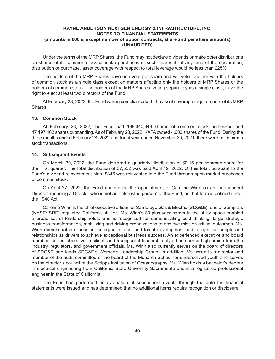Under the terms of the MRP Shares, the Fund may not declare dividends or make other distributions on shares of its common stock or make purchases of such shares if, at any time of the declaration, distribution or purchase, asset coverage with respect to total leverage would be less than 225%.

The holders of the MRP Shares have one vote per share and will vote together with the holders of common stock as a single class except on matters affecting only the holders of MRP Shares or the holders of common stock. The holders of the MRP Shares, voting separately as a single class, have the right to elect at least two directors of the Fund.

At February 28, 2022, the Fund was in compliance with the asset coverage requirements of its MRP Shares.

#### **13. Common Stock**

At February 28, 2022, the Fund had 198,340,343 shares of common stock authorized and 47,197,462 shares outstanding. As of February 28, 2022, KAFA owned 4,000 shares of the Fund. During the three months ended February 28, 2022 and fiscal year ended November 30, 2021, there were no common stock transactions.

#### **14. Subsequent Events**

On March 30, 2022, the Fund declared a quarterly distribution of \$0.16 per common share for the first quarter. The total distribution of \$7,552 was paid April 19, 2022. Of this total, pursuant to the Fund's dividend reinvestment plan, \$346 was reinvested into the Fund through open market purchases of common stock.

On April 27, 2022, the Fund announced the appointment of Caroline Winn as an Independent Director, meaning a Director who is not an "interested person" of the Fund, as that term is defined under the 1940 Act.

Caroline Winn is the chief executive officer for San Diego Gas & Electric (SDG&E), one of Sempra's (NYSE: SRE) regulated California utilities. Ms. Winn's 30-plus year career in the utility space enabled a broad set of leadership roles. She is recognized for demonstrating bold thinking, large strategic business transformation, mobilizing and driving organizations to achieve mission critical outcomes. Ms. Winn demonstrates a passion for organizational and talent development and recognizes people and relationships as drivers to achieve exceptional business success. An experienced executive and board member, her collaborative, resilient, and transparent leadership style has earned high praise from the industry, regulators, and government officials. Ms. Winn also currently serves on the board of directors of SDG&E and leads SDG&E's Women's Leadership Group. In addition, Ms. Winn is a director and member of the audit committee of the board of the Monarch School for underserved youth and serves on the director's council of the Scripps Institution of Oceanography. Ms. Winn holds a bachelor's degree in electrical engineering from California State University Sacramento and is a registered professional engineer in the State of California.

The Fund has performed an evaluation of subsequent events through the date the financial statements were issued and has determined that no additional items require recognition or disclosure.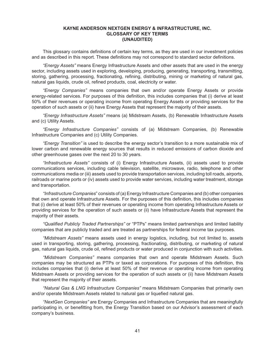#### **KAYNE ANDERSON NEXTGEN ENERGY & INFRASTRUCTURE, INC. GLOSSARY OF KEY TERMS (UNAUDITED)**

This glossary contains definitions of certain key terms, as they are used in our investment policies and as described in this report. These definitions may not correspond to standard sector definitions.

*"Energy Assets"* means Energy Infrastructure Assets and other assets that are used in the energy sector, including assets used in exploring, developing, producing, generating, transporting, transmitting, storing, gathering, processing, fractionating, refining, distributing, mining or marketing of natural gas, natural gas liquids, crude oil, refined products, coal, electricity or water.

*"Energy Companies"*  means companies that own and/or operate Energy Assets or provide energy-related services. For purposes of this definition, this includes companies that (i) derive at least 50% of their revenues or operating income from operating Energy Assets or providing services for the operation of such assets or (ii) have Energy Assets that represent the majority of their assets.

*"Energy Infrastructure Assets"* means (a) Midstream Assets, (b) Renewable Infrastructure Assets and (c) Utility Assets.

*"Energy Infrastructure Companies"* consists of (a) Midstream Companies, (b) Renewable Infrastructure Companies and (c) Utility Companies.

*"Energy Transition"* is used to describe the energy sector's transition to a more sustainable mix of lower carbon and renewable energy sources that results in reduced emissions of carbon dioxide and other greenhouse gases over the next 20 to 30 years.

*"Infrastructure Assets"* consists of (i) Energy Infrastructure Assets, (ii) assets used to provide communications services, including cable television, satellite, microwave, radio, telephone and other communications media or (iii) assets used to provide transportation services, including toll roads, airports, railroads or marine ports or (iv) assets used to provide water services, including water treatment, storage and transportation.

*"Infrastructure Companies*" consists of (a) Energy Infrastructure Companies and (b) other companies that own and operate Infrastructure Assets. For the purposes of this definition, this includes companies that (i) derive at least 50% of their revenues or operating income from operating Infrastructure Assets or providing services for the operation of such assets or (ii) have Infrastructure Assets that represent the majority of their assets.

*"Qualified Publicly Traded Partnerships"* or "PTPs" means limited partnerships and limited liability companies that are publicly traded and are treated as partnerships for federal income tax purposes.

*"Midstream Assets"* means assets used in energy logistics, including, but not limited to, assets used in transporting, storing, gathering, processing, fractionating, distributing, or marketing of natural gas, natural gas liquids, crude oil, refined products or water produced in conjunction with such activities.

*"Midstream Companies"* means companies that own and operate Midstream Assets. Such companies may be structured as PTPs or taxed as corporations. For purposes of this definition, this includes companies that (i) derive at least 50% of their revenue or operating income from operating Midstream Assets or providing services for the operation of such assets or (ii) have Midstream Assets that represent the majority of their assets.

*"Natural Gas & LNG Infrastructure Companies"* means Midstream Companies that primarily own and/or operate Midstream Assets related to natural gas or liquefied natural gas.

*"NextGen Companies"* are Energy Companies and Infrastructure Companies that are meaningfully participating in, or benefitting from, the Energy Transition based on our Advisor's assessment of each company's business.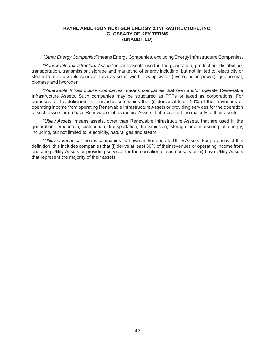#### **KAYNE ANDERSON NEXTGEN ENERGY & INFRASTRUCTURE, INC. GLOSSARY OF KEY TERMS (UNAUDITED)**

*"Other Energy Companies"* means Energy Companies, excluding Energy Infrastructure Companies.

*"Renewable Infrastructure Assets"* means assets used in the generation, production, distribution, transportation, transmission, storage and marketing of energy including, but not limited to, electricity or steam from renewable sources such as solar, wind, flowing water (hydroelectric power), geothermal, biomass and hydrogen.

*"Renewable Infrastructure Companies"* means companies that own and/or operate Renewable Infrastructure Assets. Such companies may be structured as PTPs or taxed as corporations. For purposes of this definition, this includes companies that (i) derive at least 50% of their revenues or operating income from operating Renewable Infrastructure Assets or providing services for the operation of such assets or (ii) have Renewable Infrastructure Assets that represent the majority of their assets.

*"Utility Assets"* means assets, other than Renewable Infrastructure Assets, that are used in the generation, production, distribution, transportation, transmission, storage and marketing of energy, including, but not limited to, electricity, natural gas and steam.

*"Utility Companies"* means companies that own and/or operate Utility Assets. For purposes of this definition, this includes companies that (i) derive at least 50% of their revenues or operating income from operating Utility Assets or providing services for the operation of such assets or (ii) have Utility Assets that represent the majority of their assets.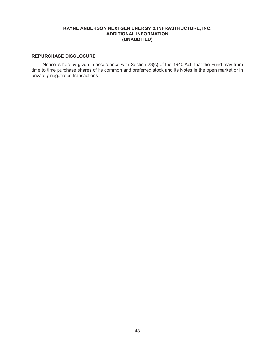# **KAYNE ANDERSON NEXTGEN ENERGY & INFRASTRUCTURE, INC. ADDITIONAL INFORMATION (UNAUDITED)**

# **REPURCHASE DISCLOSURE**

Notice is hereby given in accordance with Section 23(c) of the 1940 Act, that the Fund may from time to time purchase shares of its common and preferred stock and its Notes in the open market or in privately negotiated transactions.